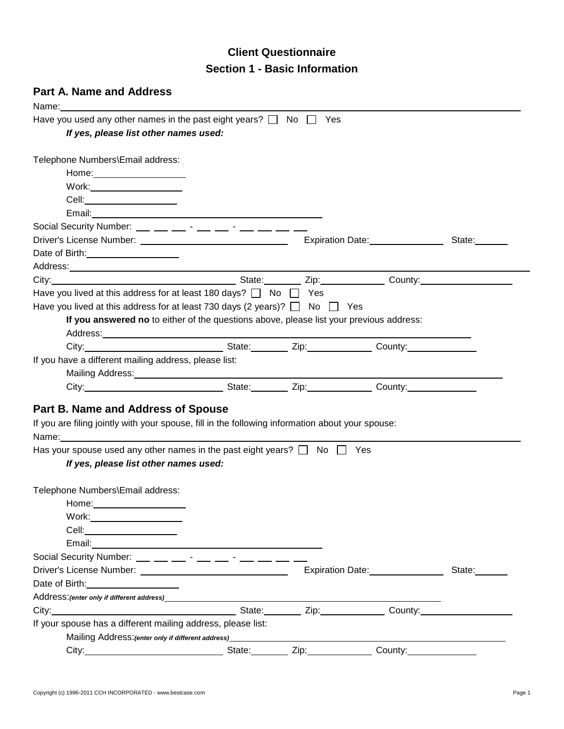# **Client Questionnaire Section 1 - Basic Information**

# **Part A. Name and Address**

| Name:                                                                                                                                                                                                                                                                                                          |                  |                                              |        |
|----------------------------------------------------------------------------------------------------------------------------------------------------------------------------------------------------------------------------------------------------------------------------------------------------------------|------------------|----------------------------------------------|--------|
| Have you used any other names in the past eight years? $\Box$ No $\Box$ Yes                                                                                                                                                                                                                                    |                  |                                              |        |
| If yes, please list other names used:                                                                                                                                                                                                                                                                          |                  |                                              |        |
|                                                                                                                                                                                                                                                                                                                |                  |                                              |        |
| Telephone Numbers\Email address:                                                                                                                                                                                                                                                                               |                  |                                              |        |
|                                                                                                                                                                                                                                                                                                                |                  |                                              |        |
| Work:________________________                                                                                                                                                                                                                                                                                  |                  |                                              |        |
| Cell:________________________                                                                                                                                                                                                                                                                                  |                  |                                              |        |
|                                                                                                                                                                                                                                                                                                                |                  |                                              |        |
| Social Security Number: __ __ __ __ - __ _                                                                                                                                                                                                                                                                     |                  |                                              |        |
|                                                                                                                                                                                                                                                                                                                |                  | Expiration Date:<br><u> Expiration Date:</u> | State: |
| Date of Birth: 2008 and 2008                                                                                                                                                                                                                                                                                   |                  |                                              |        |
|                                                                                                                                                                                                                                                                                                                |                  |                                              |        |
| City: City: Current County: County: County: County: County: County: County: County: County: County: County: County: County: County: County: County: County: County: County: County: County: County: County: County: County: Co                                                                                 |                  |                                              |        |
| Have you lived at this address for at least 180 days? $\Box$ No $\Box$ Yes                                                                                                                                                                                                                                     |                  |                                              |        |
| Have you lived at this address for at least 730 days (2 years)? $\Box$ No $\Box$ Yes                                                                                                                                                                                                                           |                  |                                              |        |
| If you answered no to either of the questions above, please list your previous address:                                                                                                                                                                                                                        |                  |                                              |        |
|                                                                                                                                                                                                                                                                                                                |                  |                                              |        |
|                                                                                                                                                                                                                                                                                                                |                  |                                              |        |
| If you have a different mailing address, please list:                                                                                                                                                                                                                                                          |                  |                                              |        |
|                                                                                                                                                                                                                                                                                                                |                  |                                              |        |
| City: City: Culture City: County: County: County: County: County: County:                                                                                                                                                                                                                                      |                  |                                              |        |
|                                                                                                                                                                                                                                                                                                                |                  |                                              |        |
| Part B. Name and Address of Spouse                                                                                                                                                                                                                                                                             |                  |                                              |        |
| If you are filing jointly with your spouse, fill in the following information about your spouse:                                                                                                                                                                                                               |                  |                                              |        |
| Name: when the contract of the contract of the contract of the contract of the contract of the contract of the                                                                                                                                                                                                 |                  |                                              |        |
| Has your spouse used any other names in the past eight years? $\Box$ No $\Box$ Yes                                                                                                                                                                                                                             |                  |                                              |        |
| If yes, please list other names used:                                                                                                                                                                                                                                                                          |                  |                                              |        |
| Telephone Numbers\Email address:                                                                                                                                                                                                                                                                               |                  |                                              |        |
| Home:__________________________                                                                                                                                                                                                                                                                                |                  |                                              |        |
| Work:____ <b>________________</b> ___                                                                                                                                                                                                                                                                          |                  |                                              |        |
| Cell: _______________________                                                                                                                                                                                                                                                                                  |                  |                                              |        |
| Email: 2008 - 2009 - 2009 - 2009 - 2010 - 2010 - 2010 - 2011 - 2012 - 2014 - 2016 - 2017 - 2018 - 2019 - 2019                                                                                                                                                                                                  |                  |                                              |        |
| Social Security Number: $\frac{1}{1}$ $\frac{1}{1}$ $\frac{1}{1}$ $\frac{1}{1}$ $\frac{1}{1}$ $\frac{1}{1}$ $\frac{1}{1}$ $\frac{1}{1}$ $\frac{1}{1}$ $\frac{1}{1}$ $\frac{1}{1}$ $\frac{1}{1}$ $\frac{1}{1}$ $\frac{1}{1}$ $\frac{1}{1}$ $\frac{1}{1}$ $\frac{1}{1}$ $\frac{1}{1}$ $\frac{1}{1}$ $\frac{1}{1$ |                  |                                              |        |
|                                                                                                                                                                                                                                                                                                                |                  |                                              | State: |
| Date of Birth: 1990 March 2014                                                                                                                                                                                                                                                                                 |                  |                                              |        |
|                                                                                                                                                                                                                                                                                                                |                  |                                              |        |
|                                                                                                                                                                                                                                                                                                                |                  |                                              |        |
| City: Cuban City: City: Cuban County: City: County: County: County: County: County: County: County: County: County: County: County: County: County: County: County: County: County: County: County: County: County: County: Co                                                                                 |                  |                                              |        |
| If your spouse has a different mailing address, please list:                                                                                                                                                                                                                                                   |                  |                                              |        |
|                                                                                                                                                                                                                                                                                                                |                  |                                              |        |
|                                                                                                                                                                                                                                                                                                                | State: Zip: Zip: |                                              |        |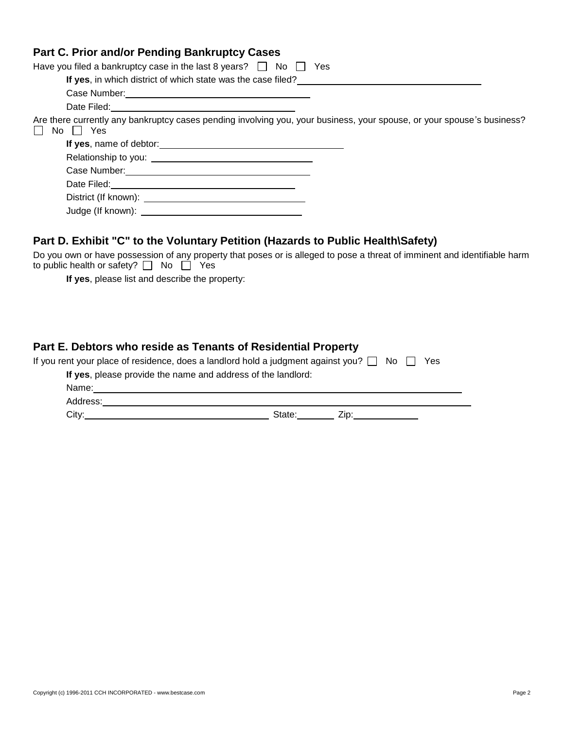## **Part C. Prior and/or Pending Bankruptcy Cases**

| Have you filed a bankruptcy case in the last 8 years? $\Box$ No $\Box$<br>Yes                                                                                                                                                  |
|--------------------------------------------------------------------------------------------------------------------------------------------------------------------------------------------------------------------------------|
| If yes, in which district of which state was the case filed?                                                                                                                                                                   |
|                                                                                                                                                                                                                                |
|                                                                                                                                                                                                                                |
| Are there currently any bankruptcy cases pending involving you, your business, your spouse, or your spouse's business?<br>Yes<br>No.                                                                                           |
| If yes, name of debtor: example and the set of the set of the set of the set of the set of the set of the set of the set of the set of the set of the set of the set of the set of the set of the set of the set of the set of |
|                                                                                                                                                                                                                                |
|                                                                                                                                                                                                                                |
|                                                                                                                                                                                                                                |
| District (If known): District (If known):                                                                                                                                                                                      |
|                                                                                                                                                                                                                                |

# **Part D. Exhibit "C" to the Voluntary Petition (Hazards to Public Health\Safety)**

Do you own or have possession of any property that poses or is alleged to pose a threat of imminent and identifiable harm to public health or safety?  $\Box$  No  $\Box$  Yes

**If yes**, please list and describe the property:

## **Part E. Debtors who reside as Tenants of Residential Property**

| If you rent your place of residence, does a landlord hold a judgment against you? $\Box$ No $\Box$ |        |      | Yes |
|----------------------------------------------------------------------------------------------------|--------|------|-----|
| If yes, please provide the name and address of the landlord:                                       |        |      |     |
| Name:                                                                                              |        |      |     |
| Address:                                                                                           |        |      |     |
| City:                                                                                              | State: | Zin: |     |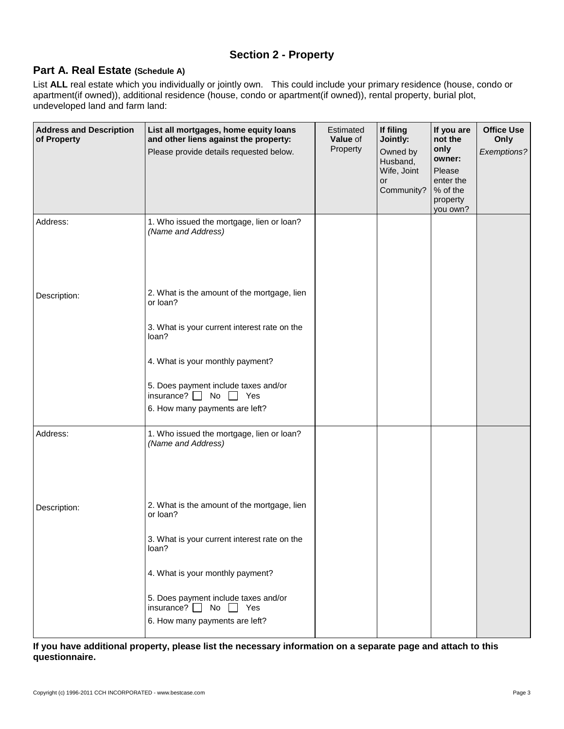## **Section 2 - Property**

## **Part A. Real Estate (Schedule A)**

List **ALL** real estate which you individually or jointly own. This could include your primary residence (house, condo or apartment(if owned)), additional residence (house, condo or apartment(if owned)), rental property, burial plot, undeveloped land and farm land:

| <b>Address and Description</b><br>of Property | List all mortgages, home equity loans<br>and other liens against the property:<br>Please provide details requested below. | Estimated<br>Value of<br>Property | If filing<br>Jointly:<br>Owned by<br>Husband,<br>Wife, Joint<br>or<br>Community? | If you are<br>not the<br>only<br>owner:<br>Please<br>enter the<br>% of the<br>property | <b>Office Use</b><br>Only<br>Exemptions? |
|-----------------------------------------------|---------------------------------------------------------------------------------------------------------------------------|-----------------------------------|----------------------------------------------------------------------------------|----------------------------------------------------------------------------------------|------------------------------------------|
| Address:                                      | 1. Who issued the mortgage, lien or loan?<br>(Name and Address)                                                           |                                   |                                                                                  | you own?                                                                               |                                          |
| Description:                                  | 2. What is the amount of the mortgage, lien<br>or loan?                                                                   |                                   |                                                                                  |                                                                                        |                                          |
|                                               | 3. What is your current interest rate on the<br>loan?                                                                     |                                   |                                                                                  |                                                                                        |                                          |
|                                               | 4. What is your monthly payment?<br>5. Does payment include taxes and/or                                                  |                                   |                                                                                  |                                                                                        |                                          |
|                                               | insurance? $\Box$ No $\Box$ Yes<br>6. How many payments are left?                                                         |                                   |                                                                                  |                                                                                        |                                          |
| Address:                                      | 1. Who issued the mortgage, lien or loan?<br>(Name and Address)                                                           |                                   |                                                                                  |                                                                                        |                                          |
| Description:                                  | 2. What is the amount of the mortgage, lien<br>or loan?                                                                   |                                   |                                                                                  |                                                                                        |                                          |
|                                               | 3. What is your current interest rate on the<br>loan?                                                                     |                                   |                                                                                  |                                                                                        |                                          |
|                                               | 4. What is your monthly payment?                                                                                          |                                   |                                                                                  |                                                                                        |                                          |
|                                               | 5. Does payment include taxes and/or<br>insurance? $\Box$ No $\Box$ Yes<br>6. How many payments are left?                 |                                   |                                                                                  |                                                                                        |                                          |

**If you have additional property, please list the necessary information on a separate page and attach to this questionnaire.**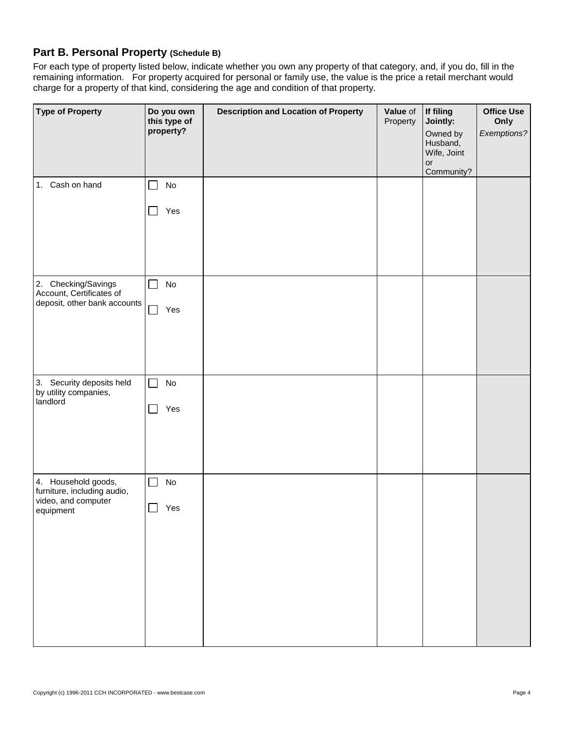## **Part B. Personal Property (Schedule B)**

For each type of property listed below, indicate whether you own any property of that category, and, if you do, fill in the remaining information. For property acquired for personal or family use, the value is the price a retail merchant would charge for a property of that kind, considering the age and condition of that property.

| <b>Type of Property</b>                                                                | Do you own<br>this type of<br>property? | <b>Description and Location of Property</b> | Value of<br>Property | If filing<br>Jointly:<br>Owned by<br>Husband,<br>Wife, Joint<br>$\mathop{\sf or}\nolimits$ | <b>Office Use</b><br>Only<br>Exemptions? |
|----------------------------------------------------------------------------------------|-----------------------------------------|---------------------------------------------|----------------------|--------------------------------------------------------------------------------------------|------------------------------------------|
| 1. Cash on hand                                                                        | No<br>$\sim$<br>Yes                     |                                             |                      | Community?                                                                                 |                                          |
| 2. Checking/Savings<br>Account, Certificates of<br>deposit, other bank accounts        | No<br>Yes<br>$\Box$                     |                                             |                      |                                                                                            |                                          |
| 3. Security deposits held<br>by utility companies,<br>landlord                         | No<br>$\Box$<br>Yes                     |                                             |                      |                                                                                            |                                          |
| 4. Household goods,<br>furniture, including audio,<br>video, and computer<br>equipment | No<br>Yes                               |                                             |                      |                                                                                            |                                          |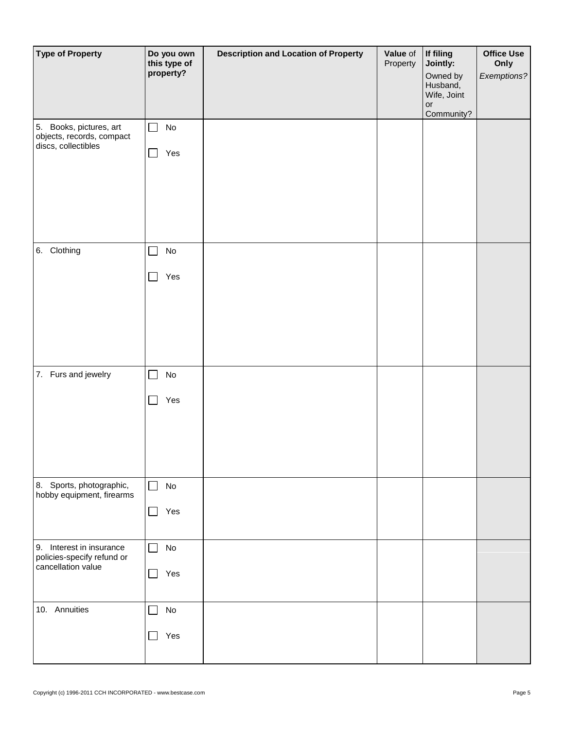| <b>Type of Property</b>                                                      | Do you own<br>this type of<br>property?                         | <b>Description and Location of Property</b> | Value of<br>Property | If filing<br>Jointly:<br>Owned by<br>Husband,<br>Wife, Joint<br>$\hbox{or}$<br>Community? | <b>Office Use</b><br>Only<br>Exemptions? |
|------------------------------------------------------------------------------|-----------------------------------------------------------------|---------------------------------------------|----------------------|-------------------------------------------------------------------------------------------|------------------------------------------|
| 5. Books, pictures, art<br>objects, records, compact<br>discs, collectibles  | ${\sf No}$<br>П<br>Yes                                          |                                             |                      |                                                                                           |                                          |
| 6. Clothing                                                                  | $\operatorname{\mathsf{No}}$<br>$\Box$<br>Yes<br>$\blacksquare$ |                                             |                      |                                                                                           |                                          |
| 7. Furs and jewelry                                                          | No<br>$\Box$<br>Yes<br>$\Box$                                   |                                             |                      |                                                                                           |                                          |
| 8. Sports, photographic,<br>hobby equipment, firearms                        | $\Box$<br>No<br>$\Box$<br>Yes                                   |                                             |                      |                                                                                           |                                          |
| 9. Interest in insurance<br>policies-specify refund or<br>cancellation value | $\mathsf{No}$<br>$\mathsf{L}$<br>Yes<br>$\blacksquare$          |                                             |                      |                                                                                           |                                          |
| 10. Annuities                                                                | No<br>$\Box$<br>Yes                                             |                                             |                      |                                                                                           |                                          |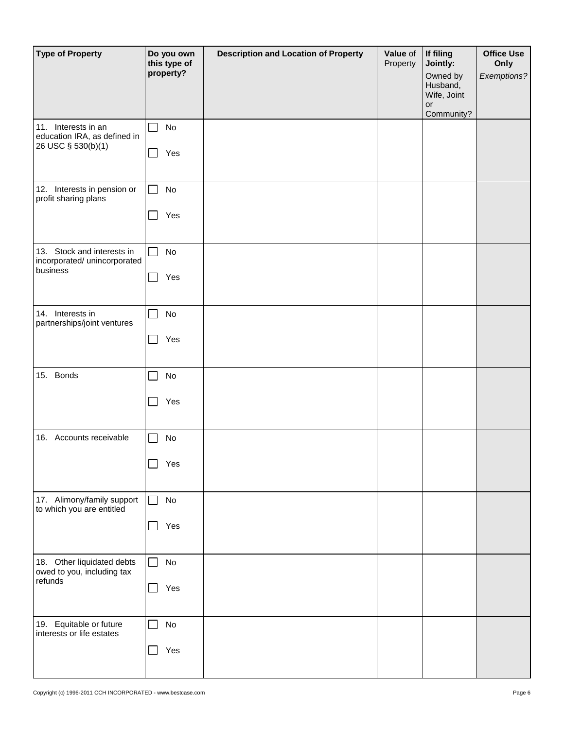| <b>Type of Property</b>                                                   | Do you own<br>this type of<br>property?            | <b>Description and Location of Property</b> | Value of<br>Property | If filing<br>Jointly:<br>Owned by<br>Husband,<br>Wife, Joint<br>or<br>Community? | <b>Office Use</b><br>Only<br>Exemptions? |
|---------------------------------------------------------------------------|----------------------------------------------------|---------------------------------------------|----------------------|----------------------------------------------------------------------------------|------------------------------------------|
| 11. Interests in an<br>education IRA, as defined in<br>26 USC § 530(b)(1) | No<br>┐<br>Yes                                     |                                             |                      |                                                                                  |                                          |
| 12. Interests in pension or<br>profit sharing plans                       | No<br>Yes                                          |                                             |                      |                                                                                  |                                          |
| 13. Stock and interests in<br>incorporated/ unincorporated<br>business    | No<br>$\mathcal{L}_{\mathcal{A}}$<br>Yes<br>$\sim$ |                                             |                      |                                                                                  |                                          |
| 14. Interests in<br>partnerships/joint ventures                           | $\Box$<br>No<br>Yes                                |                                             |                      |                                                                                  |                                          |
| 15. Bonds                                                                 | No<br>Yes                                          |                                             |                      |                                                                                  |                                          |
| 16. Accounts receivable                                                   | No<br>Yes                                          |                                             |                      |                                                                                  |                                          |
| 17. Alimony/family support<br>to which you are entitled                   | П<br>No<br>Yes<br>$\mathbf{I}$                     |                                             |                      |                                                                                  |                                          |
| 18. Other liquidated debts<br>owed to you, including tax<br>refunds       | No<br>$\overline{\phantom{0}}$<br>Yes              |                                             |                      |                                                                                  |                                          |
| 19. Equitable or future<br>interests or life estates                      | No<br>Yes                                          |                                             |                      |                                                                                  |                                          |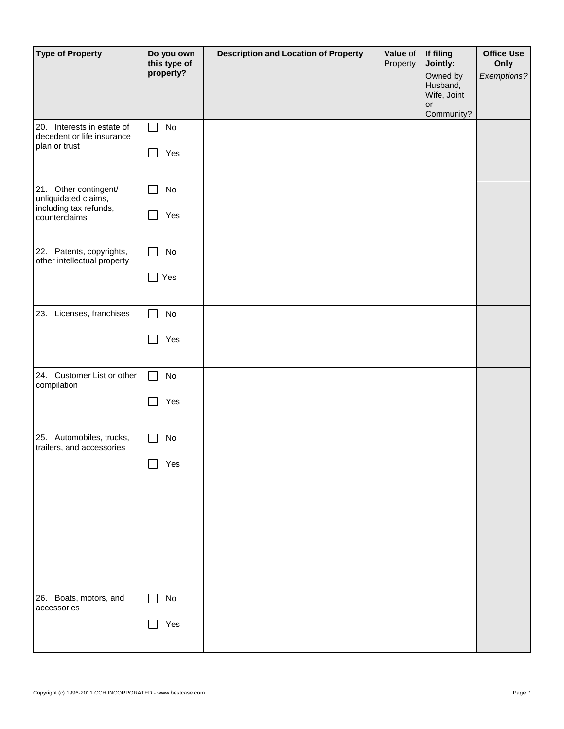| <b>Type of Property</b>                                                                  | Do you own<br>this type of<br>property?                 | <b>Description and Location of Property</b> | Value of<br>Property | If filing<br>Jointly:<br>Owned by<br>Husband,<br>Wife, Joint<br>$\mathop{\mathsf{or}}$<br>Community? | <b>Office Use</b><br>Only<br>Exemptions? |
|------------------------------------------------------------------------------------------|---------------------------------------------------------|---------------------------------------------|----------------------|------------------------------------------------------------------------------------------------------|------------------------------------------|
| 20. Interests in estate of<br>decedent or life insurance<br>plan or trust                | No<br>$\Box$<br>$\vert \ \ \vert$<br>Yes                |                                             |                      |                                                                                                      |                                          |
| 21. Other contingent/<br>unliquidated claims,<br>including tax refunds,<br>counterclaims | No<br>$\vert \ \ \vert$<br>Yes<br>$\blacksquare$        |                                             |                      |                                                                                                      |                                          |
| 22. Patents, copyrights,<br>other intellectual property                                  | No<br>$\Box$<br>$\Box$ Yes                              |                                             |                      |                                                                                                      |                                          |
| 23. Licenses, franchises                                                                 | No<br>$\overline{\phantom{0}}$<br>Yes<br>$\blacksquare$ |                                             |                      |                                                                                                      |                                          |
| 24. Customer List or other<br>compilation                                                | No<br>M<br>Yes<br>$\blacksquare$                        |                                             |                      |                                                                                                      |                                          |
| 25. Automobiles, trucks,<br>trailers, and accessories                                    | No<br>$\overline{\phantom{a}}$<br>Yes                   |                                             |                      |                                                                                                      |                                          |
| 26. Boats, motors, and<br>accessories                                                    | No<br>$\overline{\phantom{a}}$<br>Yes                   |                                             |                      |                                                                                                      |                                          |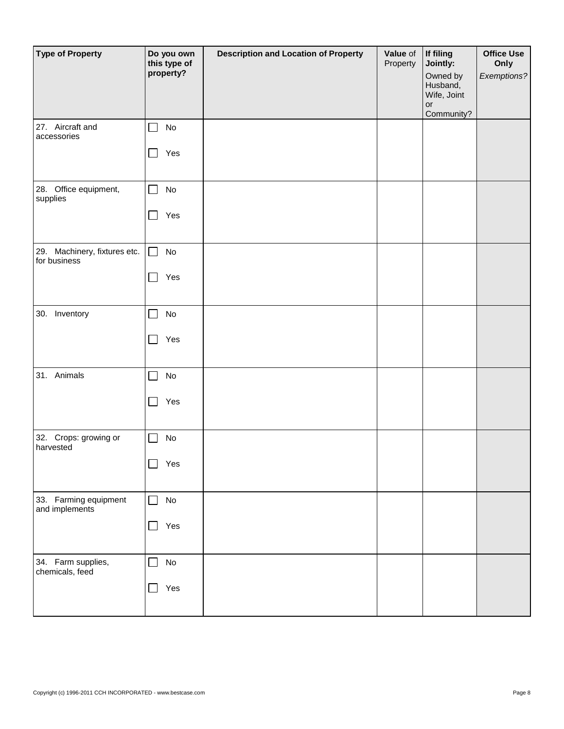| <b>Type of Property</b>                      | Do you own<br>this type of<br>property?             | <b>Description and Location of Property</b> | Value of<br>Property | If filing<br>Jointly:<br>Owned by<br>Husband,<br>Wife, Joint<br>$\mathop{\mathsf{or}}$<br>Community? | <b>Office Use</b><br>Only<br>Exemptions? |
|----------------------------------------------|-----------------------------------------------------|---------------------------------------------|----------------------|------------------------------------------------------------------------------------------------------|------------------------------------------|
| 27. Aircraft and<br>accessories              | $\mathsf{No}$<br>$\Box$<br>Yes                      |                                             |                      |                                                                                                      |                                          |
| 28. Office equipment,<br>supplies            | $\mathsf{No}$<br>$\blacksquare$<br>Yes              |                                             |                      |                                                                                                      |                                          |
| 29. Machinery, fixtures etc.<br>for business | No<br>$\blacksquare$<br>Yes                         |                                             |                      |                                                                                                      |                                          |
| 30. Inventory                                | No<br>×.<br>Yes                                     |                                             |                      |                                                                                                      |                                          |
| 31. Animals                                  | $\mathsf{No}$<br>$\mathcal{L}_{\mathcal{A}}$<br>Yes |                                             |                      |                                                                                                      |                                          |
| 32. Crops: growing or<br>harvested           | $\mathsf{No}$<br>Yes                                |                                             |                      |                                                                                                      |                                          |
| 33. Farming equipment<br>and implements      | $\mathsf{No}$<br>$\Box$<br>Yes                      |                                             |                      |                                                                                                      |                                          |
| 34. Farm supplies,<br>chemicals, feed        | $\mathsf{No}$<br>$\Box$<br>Yes                      |                                             |                      |                                                                                                      |                                          |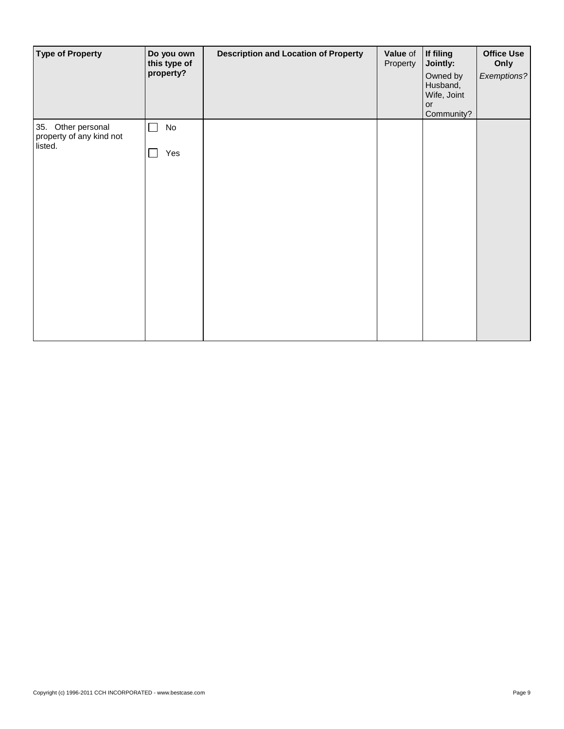| <b>Type of Property</b>                                   | Do you own<br>this type of<br>property? | <b>Description and Location of Property</b> | Value of<br>Property | If filing<br>Jointly:<br>Owned by<br>Husband,<br>Wife, Joint<br>or<br>Community? | <b>Office Use</b><br>Only<br>Exemptions? |
|-----------------------------------------------------------|-----------------------------------------|---------------------------------------------|----------------------|----------------------------------------------------------------------------------|------------------------------------------|
| 35. Other personal<br>property of any kind not<br>listed. | $\operatorname{\mathsf{No}}$<br>Yes     |                                             |                      |                                                                                  |                                          |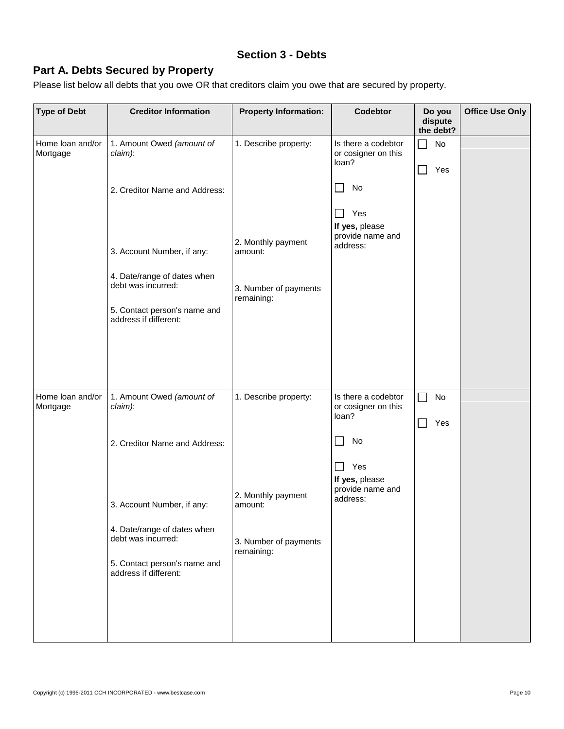## **Section 3 - Debts**

# **Part A. Debts Secured by Property**

Please list below all debts that you owe OR that creditors claim you owe that are secured by property.

| <b>Type of Debt</b>          | <b>Creditor Information</b>                                                                                | <b>Property Information:</b>        | Codebtor                                                                | Do you<br>dispute<br>the debt?               | <b>Office Use Only</b> |
|------------------------------|------------------------------------------------------------------------------------------------------------|-------------------------------------|-------------------------------------------------------------------------|----------------------------------------------|------------------------|
| Home loan and/or<br>Mortgage | 1. Amount Owed (amount of<br>claim):                                                                       | 1. Describe property:               | Is there a codebtor<br>or cosigner on this<br>loan?                     | No<br>$\blacksquare$<br>Yes<br>$\mathcal{L}$ |                        |
|                              | 2. Creditor Name and Address:                                                                              |                                     | No                                                                      |                                              |                        |
|                              | 3. Account Number, if any:                                                                                 | 2. Monthly payment<br>amount:       | Yes<br>$\blacksquare$<br>If yes, please<br>provide name and<br>address: |                                              |                        |
|                              | 4. Date/range of dates when<br>debt was incurred:<br>5. Contact person's name and<br>address if different: | 3. Number of payments<br>remaining: |                                                                         |                                              |                        |
|                              |                                                                                                            |                                     |                                                                         |                                              |                        |
| Home loan and/or<br>Mortgage | 1. Amount Owed (amount of<br>claim):                                                                       | 1. Describe property:               | Is there a codebtor<br>or cosigner on this<br>loan?                     | ×.<br>No<br>Yes                              |                        |
|                              | 2. Creditor Name and Address:                                                                              |                                     | $\blacksquare$<br>No                                                    |                                              |                        |
|                              | 3. Account Number, if any:                                                                                 | 2. Monthly payment<br>amount:       | Yes<br>If yes, please<br>provide name and<br>address:                   |                                              |                        |
|                              | 4. Date/range of dates when<br>debt was incurred:                                                          | 3. Number of payments<br>remaining: |                                                                         |                                              |                        |
|                              | 5. Contact person's name and<br>address if different:                                                      |                                     |                                                                         |                                              |                        |
|                              |                                                                                                            |                                     |                                                                         |                                              |                        |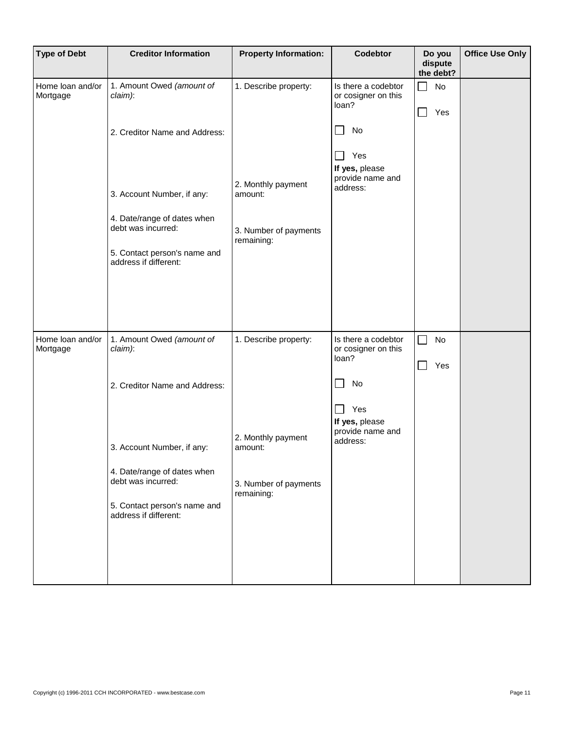| <b>Type of Debt</b>          | <b>Creditor Information</b>                           | <b>Property Information:</b>        | <b>Codebtor</b>                                       | Do you<br>dispute<br>the debt? | <b>Office Use Only</b> |
|------------------------------|-------------------------------------------------------|-------------------------------------|-------------------------------------------------------|--------------------------------|------------------------|
| Home loan and/or<br>Mortgage | 1. Amount Owed (amount of<br>claim):                  | 1. Describe property:               | Is there a codebtor<br>or cosigner on this<br>loan?   | No<br>$\blacksquare$<br>Yes    |                        |
|                              | 2. Creditor Name and Address:                         |                                     | No<br>$\mathsf{L}$                                    |                                |                        |
|                              |                                                       | 2. Monthly payment                  | Yes<br>If yes, please<br>provide name and<br>address: |                                |                        |
|                              | 3. Account Number, if any:                            | amount:                             |                                                       |                                |                        |
|                              | 4. Date/range of dates when<br>debt was incurred:     | 3. Number of payments<br>remaining: |                                                       |                                |                        |
|                              | 5. Contact person's name and<br>address if different: |                                     |                                                       |                                |                        |
|                              |                                                       |                                     |                                                       |                                |                        |
|                              |                                                       |                                     |                                                       |                                |                        |
| Home loan and/or<br>Mortgage | 1. Amount Owed (amount of<br>claim):                  | 1. Describe property:               | Is there a codebtor<br>or cosigner on this<br>loan?   | No<br>$\blacksquare$           |                        |
|                              |                                                       |                                     | $\mathsf{L}$                                          | Yes<br>$\mathcal{L}$           |                        |
|                              | 2. Creditor Name and Address:                         |                                     | No                                                    |                                |                        |
|                              |                                                       |                                     | Yes<br>If yes, please                                 |                                |                        |
|                              | 3. Account Number, if any:                            | 2. Monthly payment<br>amount:       | provide name and<br>address:                          |                                |                        |
|                              | 4. Date/range of dates when<br>debt was incurred:     | 3. Number of payments               |                                                       |                                |                        |
|                              | 5. Contact person's name and<br>address if different: | remaining:                          |                                                       |                                |                        |
|                              |                                                       |                                     |                                                       |                                |                        |
|                              |                                                       |                                     |                                                       |                                |                        |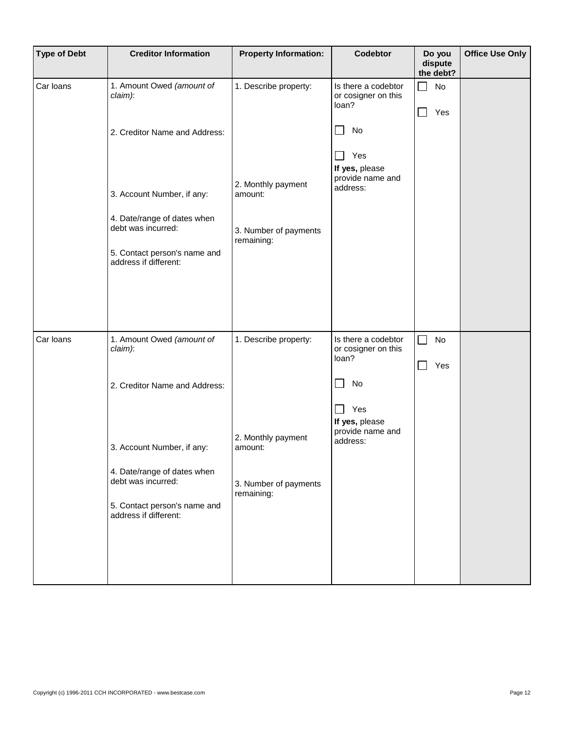| <b>Type of Debt</b> | <b>Creditor Information</b>                           | <b>Property Information:</b>        | <b>Codebtor</b>                                       | Do you<br>dispute<br>the debt?                          | <b>Office Use Only</b> |
|---------------------|-------------------------------------------------------|-------------------------------------|-------------------------------------------------------|---------------------------------------------------------|------------------------|
| Car loans           | 1. Amount Owed (amount of<br>claim):                  | 1. Describe property:               | Is there a codebtor<br>or cosigner on this<br>loan?   | No<br>$\blacksquare$<br>Yes<br>$\overline{\phantom{a}}$ |                        |
|                     | 2. Creditor Name and Address:                         |                                     | No                                                    |                                                         |                        |
|                     |                                                       | 2. Monthly payment                  | Yes<br>If yes, please<br>provide name and<br>address: |                                                         |                        |
|                     | 3. Account Number, if any:                            | amount:                             |                                                       |                                                         |                        |
|                     | 4. Date/range of dates when<br>debt was incurred:     | 3. Number of payments<br>remaining: |                                                       |                                                         |                        |
|                     | 5. Contact person's name and<br>address if different: |                                     |                                                       |                                                         |                        |
|                     |                                                       |                                     |                                                       |                                                         |                        |
|                     |                                                       |                                     |                                                       |                                                         |                        |
| Car loans           | 1. Amount Owed (amount of<br>claim):                  | 1. Describe property:               | Is there a codebtor<br>or cosigner on this<br>loan?   | No                                                      |                        |
|                     | 2. Creditor Name and Address:                         |                                     | No<br>$\sim$                                          | Yes<br>$\blacksquare$                                   |                        |
|                     |                                                       |                                     | Yes<br>If yes, please                                 |                                                         |                        |
|                     | 3. Account Number, if any:                            | 2. Monthly payment<br>amount:       | provide name and<br>address:                          |                                                         |                        |
|                     | 4. Date/range of dates when<br>debt was incurred:     | 3. Number of payments<br>remaining: |                                                       |                                                         |                        |
|                     | 5. Contact person's name and<br>address if different: |                                     |                                                       |                                                         |                        |
|                     |                                                       |                                     |                                                       |                                                         |                        |
|                     |                                                       |                                     |                                                       |                                                         |                        |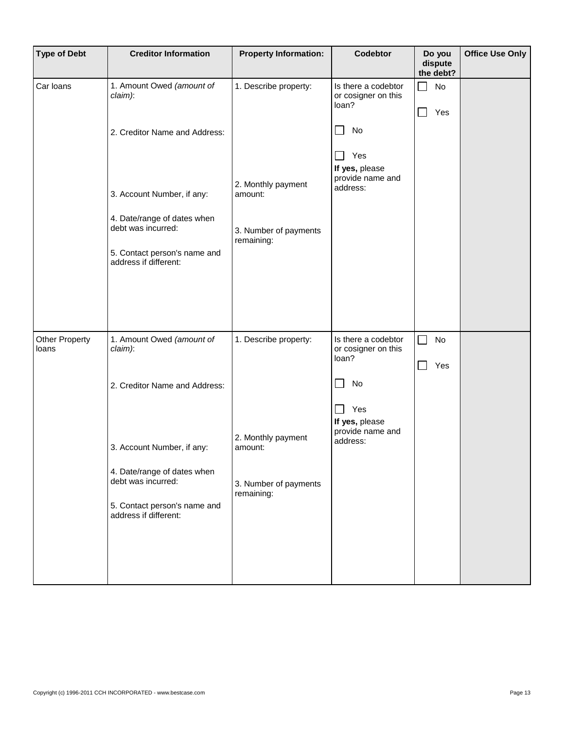| <b>Type of Debt</b>            | <b>Creditor Information</b>                           | <b>Property Information:</b>        | <b>Codebtor</b>                                       | Do you<br>dispute<br>the debt? | <b>Office Use Only</b> |
|--------------------------------|-------------------------------------------------------|-------------------------------------|-------------------------------------------------------|--------------------------------|------------------------|
| Car loans                      | 1. Amount Owed (amount of<br>claim):                  | 1. Describe property:               | Is there a codebtor<br>or cosigner on this<br>loan?   | No<br>$\mathcal{L}$<br>Yes     |                        |
|                                | 2. Creditor Name and Address:                         |                                     | No<br>$\mathsf{L}$                                    |                                |                        |
|                                |                                                       | 2. Monthly payment                  | Yes<br>If yes, please<br>provide name and<br>address: |                                |                        |
|                                | 3. Account Number, if any:                            | amount:                             |                                                       |                                |                        |
|                                | 4. Date/range of dates when<br>debt was incurred:     | 3. Number of payments<br>remaining: |                                                       |                                |                        |
|                                | 5. Contact person's name and<br>address if different: |                                     |                                                       |                                |                        |
|                                |                                                       |                                     |                                                       |                                |                        |
|                                |                                                       |                                     |                                                       |                                |                        |
| <b>Other Property</b><br>loans | 1. Amount Owed (amount of<br>claim):                  | 1. Describe property:               | Is there a codebtor<br>or cosigner on this<br>loan?   | No<br>Yes<br>$\sim$            |                        |
|                                | 2. Creditor Name and Address:                         |                                     | $\mathsf{L}$<br>No                                    |                                |                        |
|                                |                                                       |                                     | Yes<br>If yes, please                                 |                                |                        |
|                                | 3. Account Number, if any:                            | 2. Monthly payment<br>amount:       | provide name and<br>address:                          |                                |                        |
|                                | 4. Date/range of dates when<br>debt was incurred:     | 3. Number of payments               |                                                       |                                |                        |
|                                | 5. Contact person's name and<br>address if different: | remaining:                          |                                                       |                                |                        |
|                                |                                                       |                                     |                                                       |                                |                        |
|                                |                                                       |                                     |                                                       |                                |                        |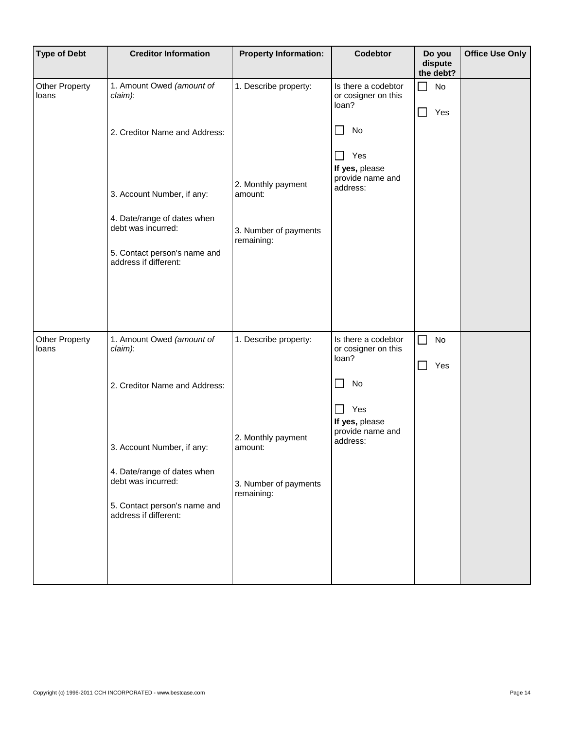| <b>Type of Debt</b>     | <b>Creditor Information</b>                           | <b>Property Information:</b>        | <b>Codebtor</b>                                       | Do you<br>dispute<br>the debt? | <b>Office Use Only</b> |
|-------------------------|-------------------------------------------------------|-------------------------------------|-------------------------------------------------------|--------------------------------|------------------------|
| Other Property<br>loans | 1. Amount Owed (amount of<br>claim):                  | 1. Describe property:               | Is there a codebtor<br>or cosigner on this<br>loan?   | No<br>$\mathcal{L}$<br>Yes     |                        |
|                         | 2. Creditor Name and Address:                         |                                     | No<br>$\blacksquare$                                  |                                |                        |
|                         |                                                       | 2. Monthly payment                  | Yes<br>If yes, please<br>provide name and<br>address: |                                |                        |
|                         | 3. Account Number, if any:                            | amount:                             |                                                       |                                |                        |
|                         | 4. Date/range of dates when<br>debt was incurred:     | 3. Number of payments<br>remaining: |                                                       |                                |                        |
|                         | 5. Contact person's name and<br>address if different: |                                     |                                                       |                                |                        |
|                         |                                                       |                                     |                                                       |                                |                        |
|                         |                                                       |                                     |                                                       |                                |                        |
| Other Property<br>loans | 1. Amount Owed (amount of<br>claim):                  | 1. Describe property:               | Is there a codebtor<br>or cosigner on this<br>loan?   | No<br>$\sim$                   |                        |
|                         |                                                       |                                     |                                                       | Yes                            |                        |
|                         | 2. Creditor Name and Address:                         |                                     | No                                                    |                                |                        |
|                         |                                                       |                                     | Yes<br>If yes, please                                 |                                |                        |
|                         | 3. Account Number, if any:                            | 2. Monthly payment<br>amount:       | provide name and<br>address:                          |                                |                        |
|                         | 4. Date/range of dates when<br>debt was incurred:     | 3. Number of payments               |                                                       |                                |                        |
|                         | 5. Contact person's name and<br>address if different: | remaining:                          |                                                       |                                |                        |
|                         |                                                       |                                     |                                                       |                                |                        |
|                         |                                                       |                                     |                                                       |                                |                        |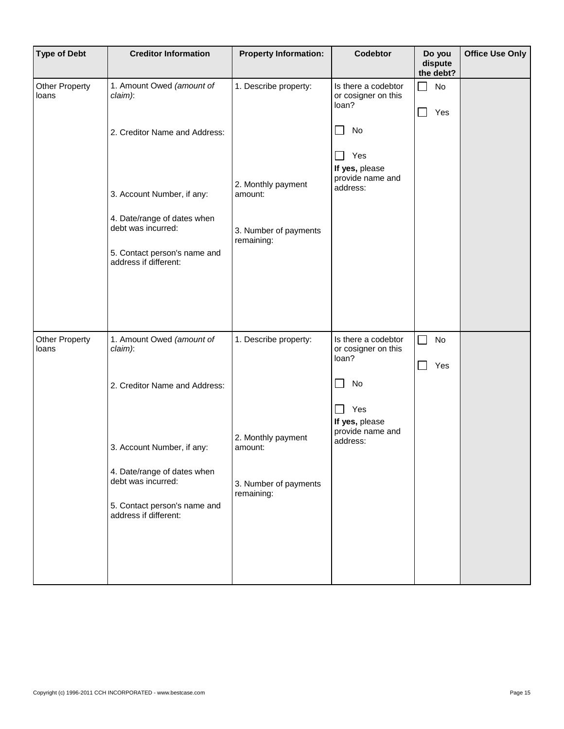| <b>Type of Debt</b>     | <b>Creditor Information</b>                           | <b>Property Information:</b>        | <b>Codebtor</b>                                       | Do you<br>dispute<br>the debt? | <b>Office Use Only</b> |
|-------------------------|-------------------------------------------------------|-------------------------------------|-------------------------------------------------------|--------------------------------|------------------------|
| Other Property<br>loans | 1. Amount Owed (amount of<br>claim):                  | 1. Describe property:               | Is there a codebtor<br>or cosigner on this<br>loan?   | No<br>$\mathcal{L}$<br>Yes     |                        |
|                         | 2. Creditor Name and Address:                         |                                     | No<br>$\blacksquare$                                  |                                |                        |
|                         |                                                       | 2. Monthly payment                  | Yes<br>If yes, please<br>provide name and<br>address: |                                |                        |
|                         | 3. Account Number, if any:                            | amount:                             |                                                       |                                |                        |
|                         | 4. Date/range of dates when<br>debt was incurred:     | 3. Number of payments<br>remaining: |                                                       |                                |                        |
|                         | 5. Contact person's name and<br>address if different: |                                     |                                                       |                                |                        |
|                         |                                                       |                                     |                                                       |                                |                        |
|                         |                                                       |                                     |                                                       |                                |                        |
| Other Property<br>loans | 1. Amount Owed (amount of<br>claim):                  | 1. Describe property:               | Is there a codebtor<br>or cosigner on this<br>loan?   | No<br>$\sim$                   |                        |
|                         | 2. Creditor Name and Address:                         |                                     | No                                                    | Yes                            |                        |
|                         |                                                       |                                     | Yes                                                   |                                |                        |
|                         |                                                       | 2. Monthly payment                  | If yes, please<br>provide name and                    |                                |                        |
|                         | 3. Account Number, if any:                            | amount:                             | address:                                              |                                |                        |
|                         | 4. Date/range of dates when<br>debt was incurred:     | 3. Number of payments<br>remaining: |                                                       |                                |                        |
|                         | 5. Contact person's name and<br>address if different: |                                     |                                                       |                                |                        |
|                         |                                                       |                                     |                                                       |                                |                        |
|                         |                                                       |                                     |                                                       |                                |                        |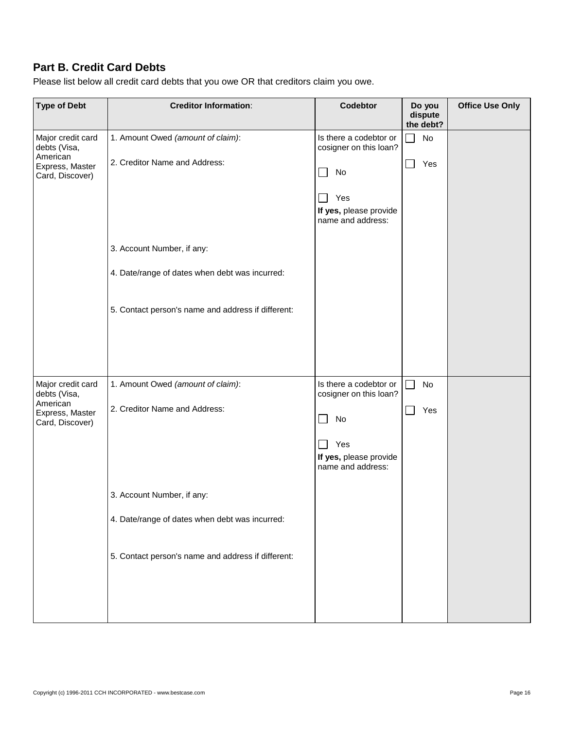# **Part B. Credit Card Debts**

Please list below all credit card debts that you owe OR that creditors claim you owe.

| <b>Type of Debt</b>                                                                 | <b>Creditor Information:</b>                                                                                                                                                                             | Codebtor                                                                                                     | Do you<br>dispute<br>the debt? | <b>Office Use Only</b> |
|-------------------------------------------------------------------------------------|----------------------------------------------------------------------------------------------------------------------------------------------------------------------------------------------------------|--------------------------------------------------------------------------------------------------------------|--------------------------------|------------------------|
| Major credit card<br>debts (Visa,<br>American<br>Express, Master<br>Card, Discover) | 1. Amount Owed (amount of claim):<br>2. Creditor Name and Address:<br>3. Account Number, if any:<br>4. Date/range of dates when debt was incurred:<br>5. Contact person's name and address if different: | Is there a codebtor or<br>cosigner on this loan?<br>No<br>Yes<br>If yes, please provide<br>name and address: | No<br>Yes                      |                        |
| Major credit card<br>debts (Visa,<br>American                                       | 1. Amount Owed (amount of claim):                                                                                                                                                                        | Is there a codebtor or<br>cosigner on this loan?                                                             | No                             |                        |
| Express, Master<br>Card, Discover)                                                  | 2. Creditor Name and Address:                                                                                                                                                                            | No<br>Yes<br>If yes, please provide<br>name and address:                                                     | Yes                            |                        |
|                                                                                     | 3. Account Number, if any:                                                                                                                                                                               |                                                                                                              |                                |                        |
|                                                                                     | 4. Date/range of dates when debt was incurred:                                                                                                                                                           |                                                                                                              |                                |                        |
|                                                                                     | 5. Contact person's name and address if different:                                                                                                                                                       |                                                                                                              |                                |                        |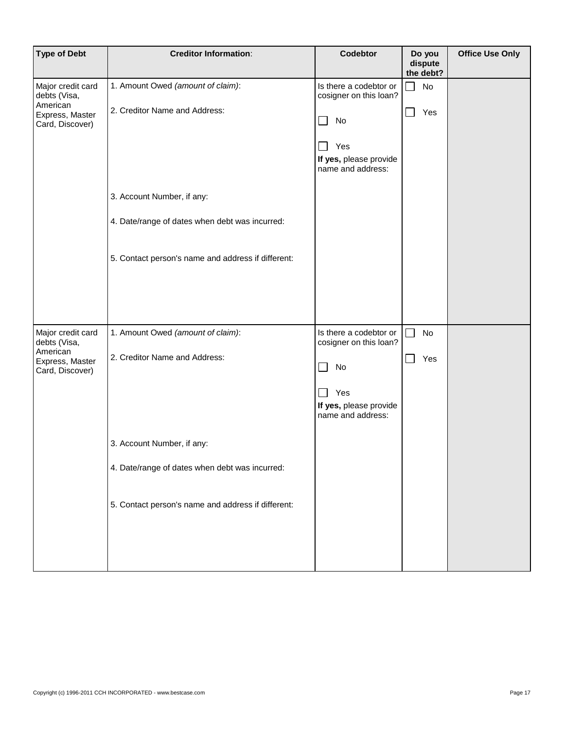| <b>Type of Debt</b>                                                                 | <b>Creditor Information:</b>                                       | Codebtor                                               | Do you<br>dispute<br>the debt? | <b>Office Use Only</b> |
|-------------------------------------------------------------------------------------|--------------------------------------------------------------------|--------------------------------------------------------|--------------------------------|------------------------|
| Major credit card<br>debts (Visa,<br>American<br>Express, Master<br>Card, Discover) | 1. Amount Owed (amount of claim):<br>2. Creditor Name and Address: | Is there a codebtor or<br>cosigner on this loan?<br>No | □<br>No<br>Yes<br>$\mathbf{I}$ |                        |
|                                                                                     |                                                                    | Yes<br>If yes, please provide<br>name and address:     |                                |                        |
|                                                                                     | 3. Account Number, if any:                                         |                                                        |                                |                        |
|                                                                                     | 4. Date/range of dates when debt was incurred:                     |                                                        |                                |                        |
|                                                                                     | 5. Contact person's name and address if different:                 |                                                        |                                |                        |
| Major credit card<br>debts (Visa,<br>American                                       | 1. Amount Owed (amount of claim):<br>2. Creditor Name and Address: | Is there a codebtor or<br>cosigner on this loan?       | No<br>$\sim$                   |                        |
| Express, Master<br>Card, Discover)                                                  |                                                                    | No<br>$\blacksquare$                                   | Yes                            |                        |
|                                                                                     |                                                                    | Yes<br>If yes, please provide<br>name and address:     |                                |                        |
|                                                                                     | 3. Account Number, if any:                                         |                                                        |                                |                        |
|                                                                                     | 4. Date/range of dates when debt was incurred:                     |                                                        |                                |                        |
|                                                                                     | 5. Contact person's name and address if different:                 |                                                        |                                |                        |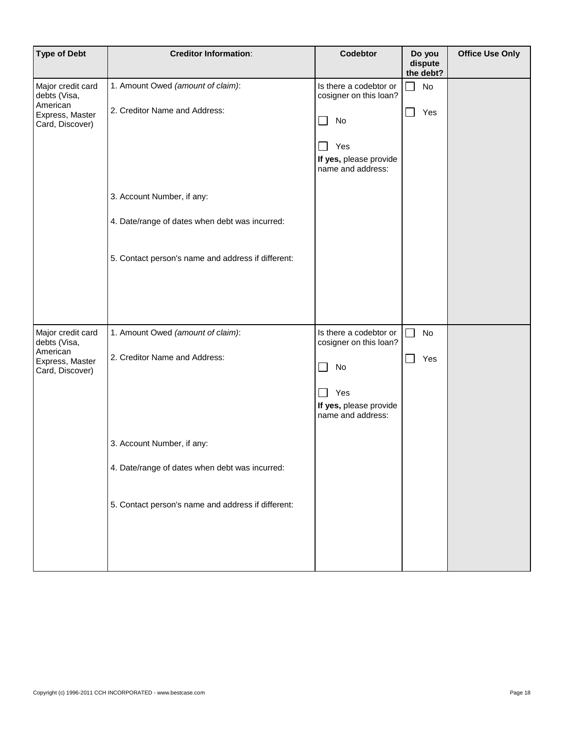| <b>Type of Debt</b>                                                                 | <b>Creditor Information:</b>                                       | Codebtor                                               | Do you<br>dispute<br>the debt? | <b>Office Use Only</b> |
|-------------------------------------------------------------------------------------|--------------------------------------------------------------------|--------------------------------------------------------|--------------------------------|------------------------|
| Major credit card<br>debts (Visa,<br>American<br>Express, Master<br>Card, Discover) | 1. Amount Owed (amount of claim):<br>2. Creditor Name and Address: | Is there a codebtor or<br>cosigner on this loan?<br>No | □<br>No<br>Yes<br>$\mathbf{I}$ |                        |
|                                                                                     |                                                                    | Yes<br>If yes, please provide<br>name and address:     |                                |                        |
|                                                                                     | 3. Account Number, if any:                                         |                                                        |                                |                        |
|                                                                                     | 4. Date/range of dates when debt was incurred:                     |                                                        |                                |                        |
|                                                                                     | 5. Contact person's name and address if different:                 |                                                        |                                |                        |
| Major credit card<br>debts (Visa,<br>American                                       | 1. Amount Owed (amount of claim):<br>2. Creditor Name and Address: | Is there a codebtor or<br>cosigner on this loan?       | No<br>$\sim$                   |                        |
| Express, Master<br>Card, Discover)                                                  |                                                                    | No<br>$\blacksquare$                                   | Yes                            |                        |
|                                                                                     |                                                                    | Yes<br>If yes, please provide<br>name and address:     |                                |                        |
|                                                                                     | 3. Account Number, if any:                                         |                                                        |                                |                        |
|                                                                                     | 4. Date/range of dates when debt was incurred:                     |                                                        |                                |                        |
|                                                                                     | 5. Contact person's name and address if different:                 |                                                        |                                |                        |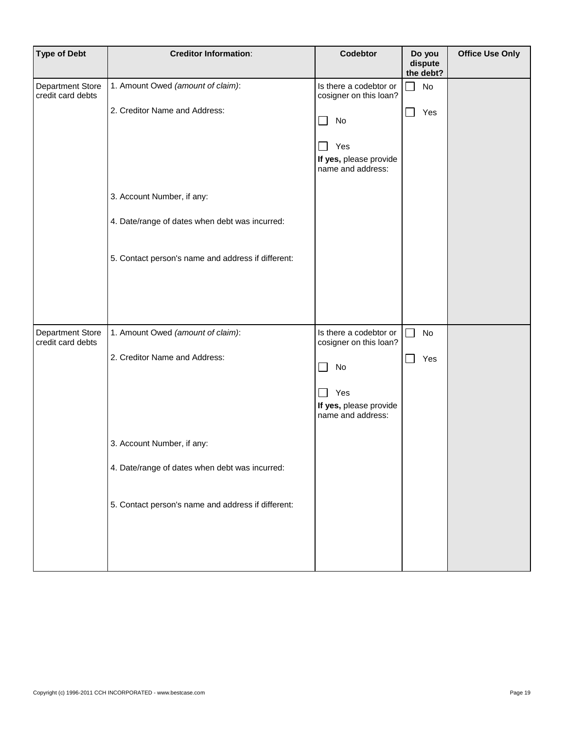| <b>Type of Debt</b>                   | <b>Creditor Information:</b>                                                                                                                                                                             | Codebtor                                                                                                     | Do you<br>dispute<br>the debt?                                 | <b>Office Use Only</b> |
|---------------------------------------|----------------------------------------------------------------------------------------------------------------------------------------------------------------------------------------------------------|--------------------------------------------------------------------------------------------------------------|----------------------------------------------------------------|------------------------|
| Department Store<br>credit card debts | 1. Amount Owed (amount of claim):<br>2. Creditor Name and Address:<br>3. Account Number, if any:<br>4. Date/range of dates when debt was incurred:<br>5. Contact person's name and address if different: | Is there a codebtor or<br>cosigner on this loan?<br>No<br>Yes<br>If yes, please provide<br>name and address: | <b>No</b><br>$\overline{\phantom{a}}$<br>Yes<br>$\blacksquare$ |                        |
| Department Store<br>credit card debts | 1. Amount Owed (amount of claim):<br>2. Creditor Name and Address:<br>3. Account Number, if any:<br>4. Date/range of dates when debt was incurred:<br>5. Contact person's name and address if different: | Is there a codebtor or<br>cosigner on this loan?<br>No<br>Yes<br>If yes, please provide<br>name and address: | No<br>Yes                                                      |                        |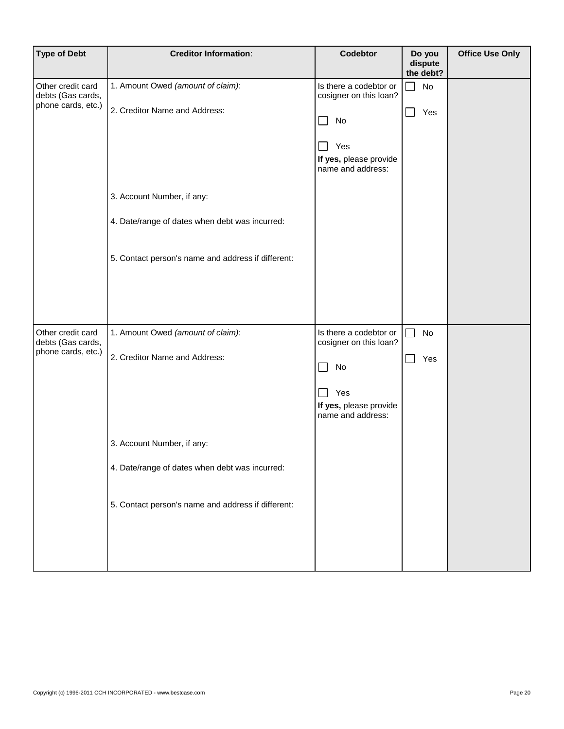| <b>Type of Debt</b>                                          | <b>Creditor Information:</b>                                                                                                                                                                             | Codebtor                                                                                                     | Do you<br>dispute<br>the debt?           | <b>Office Use Only</b> |
|--------------------------------------------------------------|----------------------------------------------------------------------------------------------------------------------------------------------------------------------------------------------------------|--------------------------------------------------------------------------------------------------------------|------------------------------------------|------------------------|
| Other credit card<br>debts (Gas cards,<br>phone cards, etc.) | 1. Amount Owed (amount of claim):<br>2. Creditor Name and Address:<br>3. Account Number, if any:<br>4. Date/range of dates when debt was incurred:<br>5. Contact person's name and address if different: | Is there a codebtor or<br>cosigner on this loan?<br>No<br>Yes<br>If yes, please provide<br>name and address: | No<br>$\Box$<br>Yes<br>$\vert \ \ \vert$ |                        |
| Other credit card<br>debts (Gas cards,<br>phone cards, etc.) | 1. Amount Owed (amount of claim):<br>2. Creditor Name and Address:<br>3. Account Number, if any:<br>4. Date/range of dates when debt was incurred:<br>5. Contact person's name and address if different: | Is there a codebtor or<br>cosigner on this loan?<br>No<br>Yes<br>If yes, please provide<br>name and address: | No<br>Yes                                |                        |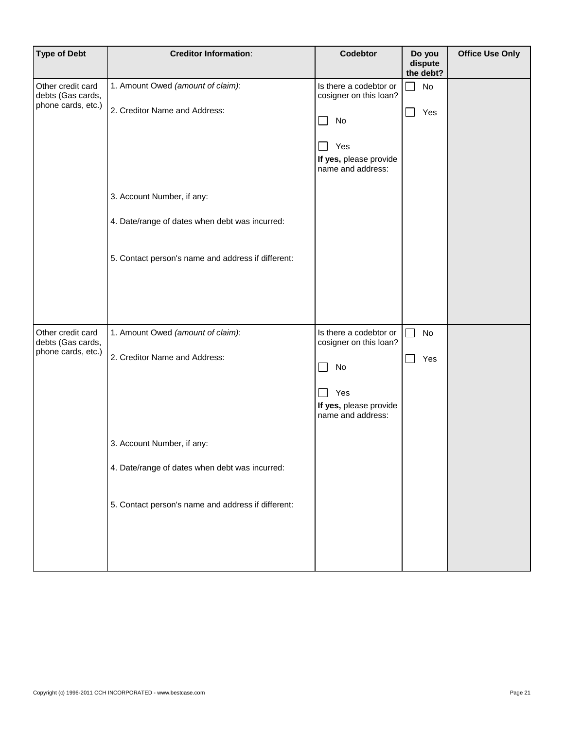| <b>Type of Debt</b>                                          | <b>Creditor Information:</b>                                                                                                                                                                             | Codebtor                                                                                                     | Do you<br>dispute<br>the debt?                       | <b>Office Use Only</b> |
|--------------------------------------------------------------|----------------------------------------------------------------------------------------------------------------------------------------------------------------------------------------------------------|--------------------------------------------------------------------------------------------------------------|------------------------------------------------------|------------------------|
| Other credit card<br>debts (Gas cards,<br>phone cards, etc.) | 1. Amount Owed (amount of claim):<br>2. Creditor Name and Address:<br>3. Account Number, if any:<br>4. Date/range of dates when debt was incurred:<br>5. Contact person's name and address if different: | Is there a codebtor or<br>cosigner on this loan?<br>No<br>Yes<br>If yes, please provide<br>name and address: | <b>No</b><br>$\blacksquare$<br>Yes<br>$\blacksquare$ |                        |
| Other credit card<br>debts (Gas cards,<br>phone cards, etc.) | 1. Amount Owed (amount of claim):<br>2. Creditor Name and Address:<br>3. Account Number, if any:<br>4. Date/range of dates when debt was incurred:<br>5. Contact person's name and address if different: | Is there a codebtor or<br>cosigner on this loan?<br>No<br>Yes<br>If yes, please provide<br>name and address: | No<br>l.<br>Yes                                      |                        |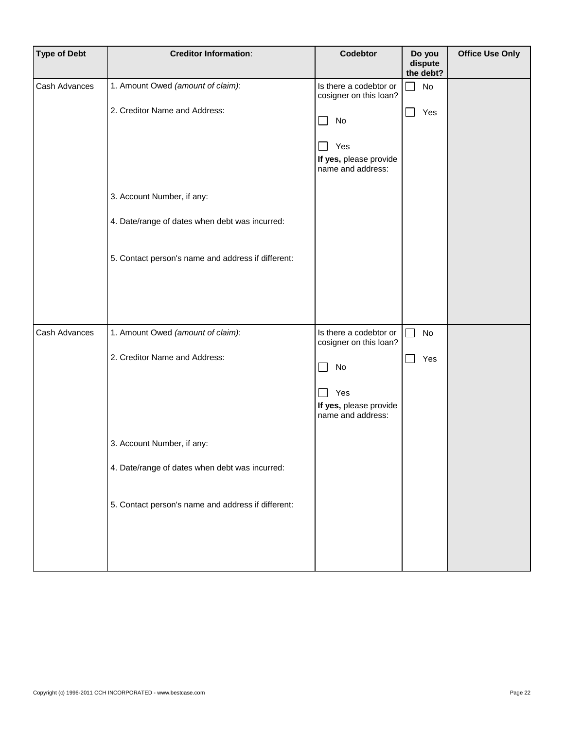| <b>Type of Debt</b> | <b>Creditor Information:</b>                       | Codebtor                                         | Do you<br>dispute<br>the debt? | <b>Office Use Only</b> |
|---------------------|----------------------------------------------------|--------------------------------------------------|--------------------------------|------------------------|
| Cash Advances       | 1. Amount Owed (amount of claim):                  | Is there a codebtor or<br>cosigner on this loan? | No<br>$\blacksquare$           |                        |
|                     | 2. Creditor Name and Address:                      | No                                               | Yes                            |                        |
|                     |                                                    | Yes                                              |                                |                        |
|                     |                                                    | If yes, please provide<br>name and address:      |                                |                        |
|                     | 3. Account Number, if any:                         |                                                  |                                |                        |
|                     | 4. Date/range of dates when debt was incurred:     |                                                  |                                |                        |
|                     | 5. Contact person's name and address if different: |                                                  |                                |                        |
|                     |                                                    |                                                  |                                |                        |
| Cash Advances       | 1. Amount Owed (amount of claim):                  | Is there a codebtor or<br>cosigner on this loan? | No                             |                        |
|                     | 2. Creditor Name and Address:                      | No                                               | Yes                            |                        |
|                     |                                                    | Yes                                              |                                |                        |
|                     |                                                    | If yes, please provide<br>name and address:      |                                |                        |
|                     | 3. Account Number, if any:                         |                                                  |                                |                        |
|                     | 4. Date/range of dates when debt was incurred:     |                                                  |                                |                        |
|                     | 5. Contact person's name and address if different: |                                                  |                                |                        |
|                     |                                                    |                                                  |                                |                        |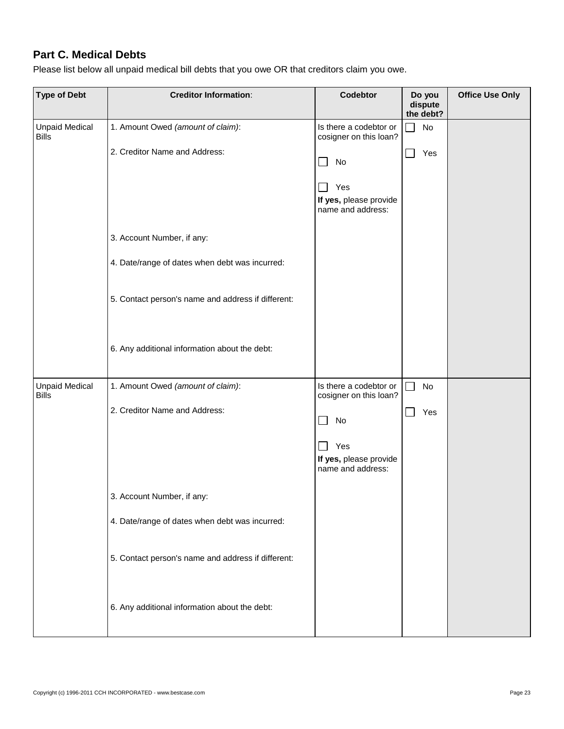# **Part C. Medical Debts**

Please list below all unpaid medical bill debts that you owe OR that creditors claim you owe.

| <b>Type of Debt</b>                   | <b>Creditor Information:</b>                       | Codebtor                                           | Do you<br>dispute<br>the debt? | <b>Office Use Only</b> |
|---------------------------------------|----------------------------------------------------|----------------------------------------------------|--------------------------------|------------------------|
| <b>Unpaid Medical</b><br><b>Bills</b> | 1. Amount Owed (amount of claim):                  | Is there a codebtor or<br>cosigner on this loan?   | <b>No</b><br>$\blacksquare$    |                        |
|                                       | 2. Creditor Name and Address:                      | No                                                 | Yes<br>$\blacksquare$          |                        |
|                                       |                                                    | Yes<br>If yes, please provide<br>name and address: |                                |                        |
|                                       | 3. Account Number, if any:                         |                                                    |                                |                        |
|                                       | 4. Date/range of dates when debt was incurred:     |                                                    |                                |                        |
|                                       | 5. Contact person's name and address if different: |                                                    |                                |                        |
|                                       | 6. Any additional information about the debt:      |                                                    |                                |                        |
| <b>Unpaid Medical</b><br><b>Bills</b> | 1. Amount Owed (amount of claim):                  | Is there a codebtor or<br>cosigner on this loan?   | No<br>$\mathbf{L}$             |                        |
|                                       | 2. Creditor Name and Address:                      | No                                                 | Yes<br>$\blacksquare$          |                        |
|                                       |                                                    | Yes<br>If yes, please provide<br>name and address: |                                |                        |
|                                       | 3. Account Number, if any:                         |                                                    |                                |                        |
|                                       | 4. Date/range of dates when debt was incurred:     |                                                    |                                |                        |
|                                       | 5. Contact person's name and address if different: |                                                    |                                |                        |
|                                       | 6. Any additional information about the debt:      |                                                    |                                |                        |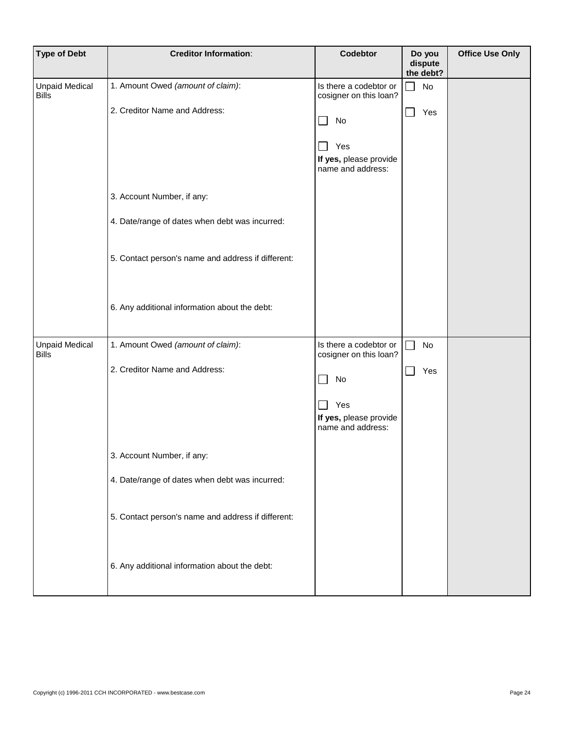| <b>Type of Debt</b>                   | <b>Creditor Information:</b>                       | Codebtor                                           | Do you<br>dispute<br>the debt? | <b>Office Use Only</b> |
|---------------------------------------|----------------------------------------------------|----------------------------------------------------|--------------------------------|------------------------|
| <b>Unpaid Medical</b><br><b>Bills</b> | 1. Amount Owed (amount of claim):                  | Is there a codebtor or<br>cosigner on this loan?   | No<br>$\mathcal{L}$            |                        |
|                                       | 2. Creditor Name and Address:                      | No                                                 | Yes<br>$\mathcal{L}$           |                        |
|                                       |                                                    | Yes<br>If yes, please provide<br>name and address: |                                |                        |
|                                       | 3. Account Number, if any:                         |                                                    |                                |                        |
|                                       | 4. Date/range of dates when debt was incurred:     |                                                    |                                |                        |
|                                       | 5. Contact person's name and address if different: |                                                    |                                |                        |
|                                       | 6. Any additional information about the debt:      |                                                    |                                |                        |
| <b>Unpaid Medical</b><br><b>Bills</b> | 1. Amount Owed (amount of claim):                  | Is there a codebtor or<br>cosigner on this loan?   | No                             |                        |
|                                       | 2. Creditor Name and Address:                      | No                                                 | Yes<br>$\sim$                  |                        |
|                                       |                                                    | Yes<br>If yes, please provide<br>name and address: |                                |                        |
|                                       | 3. Account Number, if any:                         |                                                    |                                |                        |
|                                       | 4. Date/range of dates when debt was incurred:     |                                                    |                                |                        |
|                                       | 5. Contact person's name and address if different: |                                                    |                                |                        |
|                                       | 6. Any additional information about the debt:      |                                                    |                                |                        |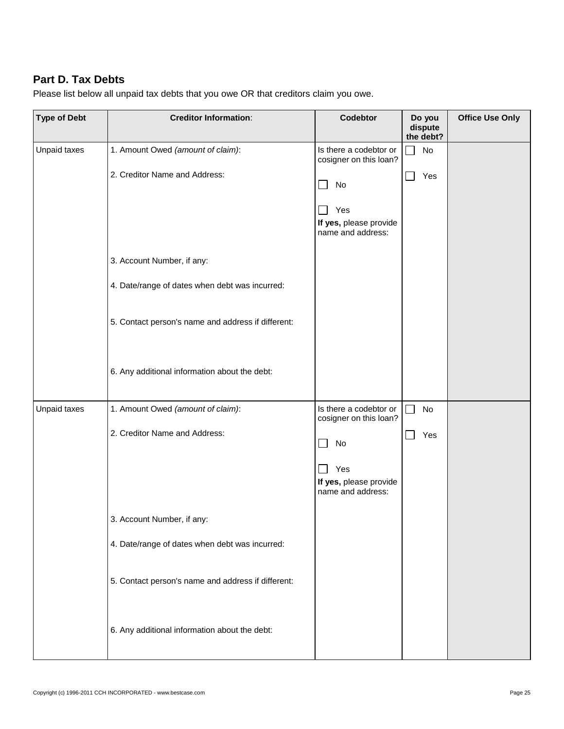## **Part D. Tax Debts**

Please list below all unpaid tax debts that you owe OR that creditors claim you owe.

| <b>Type of Debt</b> | <b>Creditor Information:</b>                       | Codebtor                                           | Do you<br>dispute<br>the debt? | <b>Office Use Only</b> |
|---------------------|----------------------------------------------------|----------------------------------------------------|--------------------------------|------------------------|
| Unpaid taxes        | 1. Amount Owed (amount of claim):                  | Is there a codebtor or<br>cosigner on this loan?   | No                             |                        |
|                     | 2. Creditor Name and Address:                      | No<br>$\sim$                                       | Yes                            |                        |
|                     |                                                    | Yes<br>If yes, please provide<br>name and address: |                                |                        |
|                     | 3. Account Number, if any:                         |                                                    |                                |                        |
|                     | 4. Date/range of dates when debt was incurred:     |                                                    |                                |                        |
|                     | 5. Contact person's name and address if different: |                                                    |                                |                        |
|                     | 6. Any additional information about the debt:      |                                                    |                                |                        |
| Unpaid taxes        | 1. Amount Owed (amount of claim):                  | Is there a codebtor or<br>cosigner on this loan?   | No                             |                        |
|                     | 2. Creditor Name and Address:                      | No<br>$\sim$                                       | Yes                            |                        |
|                     |                                                    | Yes<br>If yes, please provide<br>name and address: |                                |                        |
|                     | 3. Account Number, if any:                         |                                                    |                                |                        |
|                     | 4. Date/range of dates when debt was incurred:     |                                                    |                                |                        |
|                     | 5. Contact person's name and address if different: |                                                    |                                |                        |
|                     | 6. Any additional information about the debt:      |                                                    |                                |                        |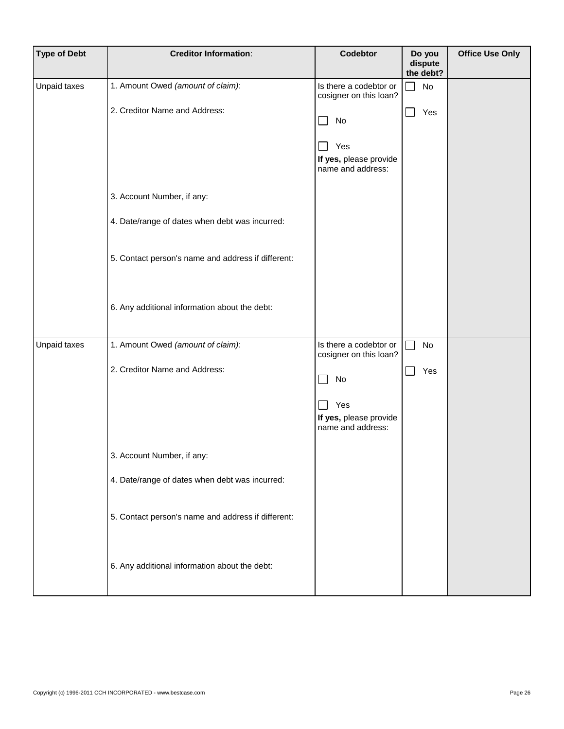| <b>Type of Debt</b> | <b>Creditor Information:</b>                       | Codebtor                                           | Do you<br>dispute<br>the debt? | <b>Office Use Only</b> |
|---------------------|----------------------------------------------------|----------------------------------------------------|--------------------------------|------------------------|
| Unpaid taxes        | 1. Amount Owed (amount of claim):                  | Is there a codebtor or<br>cosigner on this loan?   | No<br>$\Box$                   |                        |
|                     | 2. Creditor Name and Address:                      | No                                                 | $\mathbf{L}$<br>Yes            |                        |
|                     |                                                    | Yes<br>If yes, please provide<br>name and address: |                                |                        |
|                     | 3. Account Number, if any:                         |                                                    |                                |                        |
|                     | 4. Date/range of dates when debt was incurred:     |                                                    |                                |                        |
|                     | 5. Contact person's name and address if different: |                                                    |                                |                        |
|                     | 6. Any additional information about the debt:      |                                                    |                                |                        |
| Unpaid taxes        | 1. Amount Owed (amount of claim):                  | Is there a codebtor or<br>cosigner on this loan?   | П<br>No                        |                        |
|                     | 2. Creditor Name and Address:                      | No                                                 | Yes<br>$\mathbf{I}$            |                        |
|                     |                                                    | Yes<br>If yes, please provide<br>name and address: |                                |                        |
|                     | 3. Account Number, if any:                         |                                                    |                                |                        |
|                     | 4. Date/range of dates when debt was incurred:     |                                                    |                                |                        |
|                     | 5. Contact person's name and address if different: |                                                    |                                |                        |
|                     | 6. Any additional information about the debt:      |                                                    |                                |                        |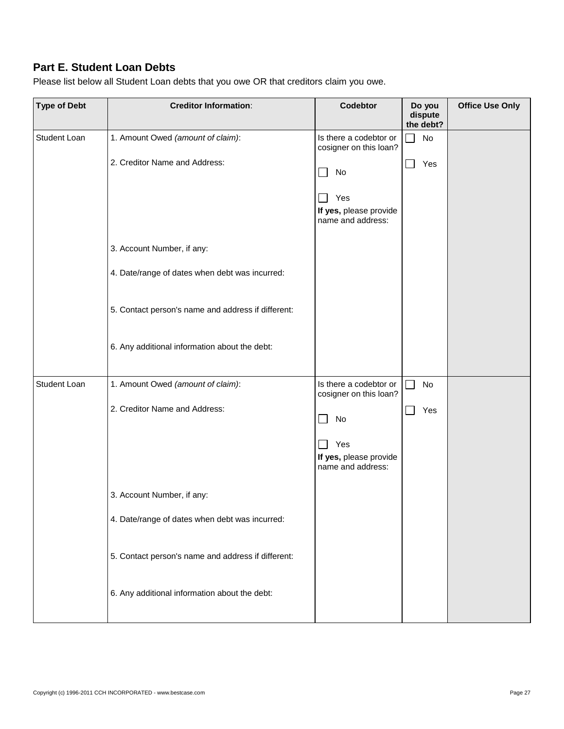# **Part E. Student Loan Debts**

| Please list below all Student Loan debts that you owe OR that creditors claim you owe. |  |
|----------------------------------------------------------------------------------------|--|
|----------------------------------------------------------------------------------------|--|

| <b>Type of Debt</b> | <b>Creditor Information:</b>                       | Codebtor                                         | Do you<br>dispute<br>the debt? | <b>Office Use Only</b> |
|---------------------|----------------------------------------------------|--------------------------------------------------|--------------------------------|------------------------|
| Student Loan        | 1. Amount Owed (amount of claim):                  | Is there a codebtor or<br>cosigner on this loan? | No<br>$\blacksquare$           |                        |
|                     | 2. Creditor Name and Address:                      | No                                               | Yes                            |                        |
|                     |                                                    | Yes                                              |                                |                        |
|                     |                                                    | If yes, please provide<br>name and address:      |                                |                        |
|                     | 3. Account Number, if any:                         |                                                  |                                |                        |
|                     | 4. Date/range of dates when debt was incurred:     |                                                  |                                |                        |
|                     | 5. Contact person's name and address if different: |                                                  |                                |                        |
|                     | 6. Any additional information about the debt:      |                                                  |                                |                        |
| Student Loan        | 1. Amount Owed (amount of claim):                  | Is there a codebtor or<br>cosigner on this loan? | No                             |                        |
|                     | 2. Creditor Name and Address:                      | No                                               | Yes                            |                        |
|                     |                                                    | Yes                                              |                                |                        |
|                     |                                                    | If yes, please provide<br>name and address:      |                                |                        |
|                     | 3. Account Number, if any:                         |                                                  |                                |                        |
|                     | 4. Date/range of dates when debt was incurred:     |                                                  |                                |                        |
|                     | 5. Contact person's name and address if different: |                                                  |                                |                        |
|                     | 6. Any additional information about the debt:      |                                                  |                                |                        |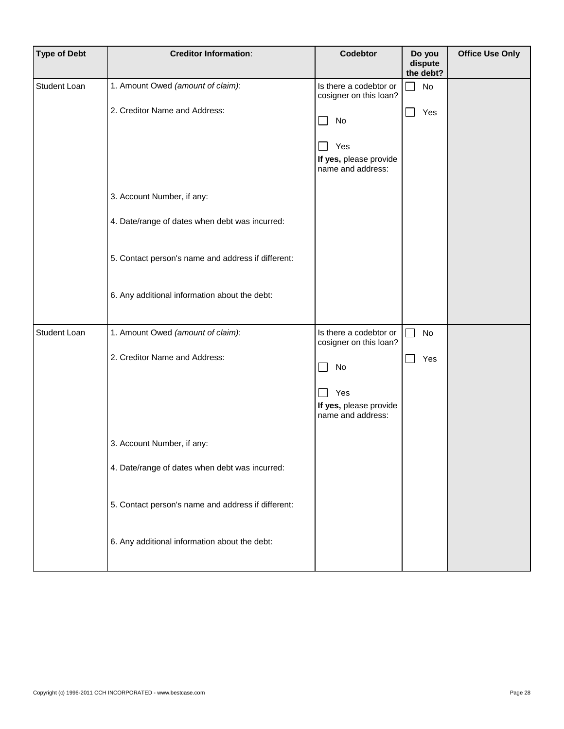| <b>Type of Debt</b> | <b>Creditor Information:</b>                       | Codebtor                                         | Do you<br>dispute<br>the debt? | <b>Office Use Only</b> |
|---------------------|----------------------------------------------------|--------------------------------------------------|--------------------------------|------------------------|
| Student Loan        | 1. Amount Owed (amount of claim):                  | Is there a codebtor or<br>cosigner on this loan? | No<br>$\blacksquare$           |                        |
|                     | 2. Creditor Name and Address:                      | No                                               | Yes                            |                        |
|                     |                                                    | Yes                                              |                                |                        |
|                     |                                                    | If yes, please provide<br>name and address:      |                                |                        |
|                     | 3. Account Number, if any:                         |                                                  |                                |                        |
|                     | 4. Date/range of dates when debt was incurred:     |                                                  |                                |                        |
|                     | 5. Contact person's name and address if different: |                                                  |                                |                        |
|                     | 6. Any additional information about the debt:      |                                                  |                                |                        |
| Student Loan        | 1. Amount Owed (amount of claim):                  | Is there a codebtor or<br>cosigner on this loan? | No                             |                        |
|                     | 2. Creditor Name and Address:                      | No                                               | Yes                            |                        |
|                     |                                                    | Yes                                              |                                |                        |
|                     |                                                    | If yes, please provide<br>name and address:      |                                |                        |
|                     | 3. Account Number, if any:                         |                                                  |                                |                        |
|                     | 4. Date/range of dates when debt was incurred:     |                                                  |                                |                        |
|                     | 5. Contact person's name and address if different: |                                                  |                                |                        |
|                     | 6. Any additional information about the debt:      |                                                  |                                |                        |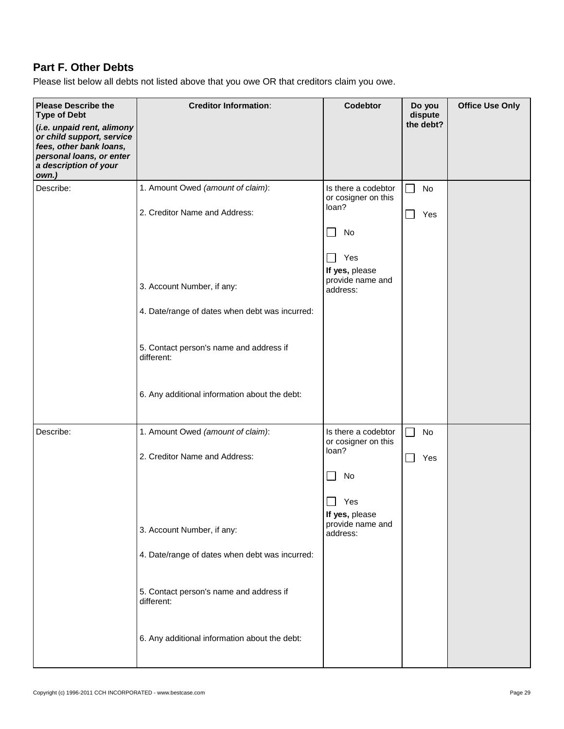# **Part F. Other Debts**

Please list below all debts not listed above that you owe OR that creditors claim you owe.

| <b>Please Describe the</b><br><b>Type of Debt</b>                                                                                                | <b>Creditor Information:</b>                                                                                                                                                                                                                                 | Codebtor                                                                                                                     | Do you<br>dispute           | <b>Office Use Only</b> |
|--------------------------------------------------------------------------------------------------------------------------------------------------|--------------------------------------------------------------------------------------------------------------------------------------------------------------------------------------------------------------------------------------------------------------|------------------------------------------------------------------------------------------------------------------------------|-----------------------------|------------------------|
| (i.e. unpaid rent, alimony<br>or child support, service<br>fees, other bank loans,<br>personal loans, or enter<br>a description of your<br>own.) |                                                                                                                                                                                                                                                              |                                                                                                                              | the debt?                   |                        |
| Describe:                                                                                                                                        | 1. Amount Owed (amount of claim):<br>2. Creditor Name and Address:<br>3. Account Number, if any:<br>4. Date/range of dates when debt was incurred:<br>5. Contact person's name and address if<br>different:                                                  | Is there a codebtor<br>or cosigner on this<br>loan?<br>No<br>Yes<br>If yes, please<br>provide name and<br>address:           | No<br>$\blacksquare$<br>Yes |                        |
|                                                                                                                                                  | 6. Any additional information about the debt:                                                                                                                                                                                                                |                                                                                                                              |                             |                        |
| Describe:                                                                                                                                        | 1. Amount Owed (amount of claim):<br>2. Creditor Name and Address:<br>3. Account Number, if any:<br>4. Date/range of dates when debt was incurred:<br>5. Contact person's name and address if<br>different:<br>6. Any additional information about the debt: | Is there a codebtor<br>or cosigner on this<br>loan?<br>No<br>$\sim$<br>Yes<br>If yes, please<br>provide name and<br>address: | No<br>Yes                   |                        |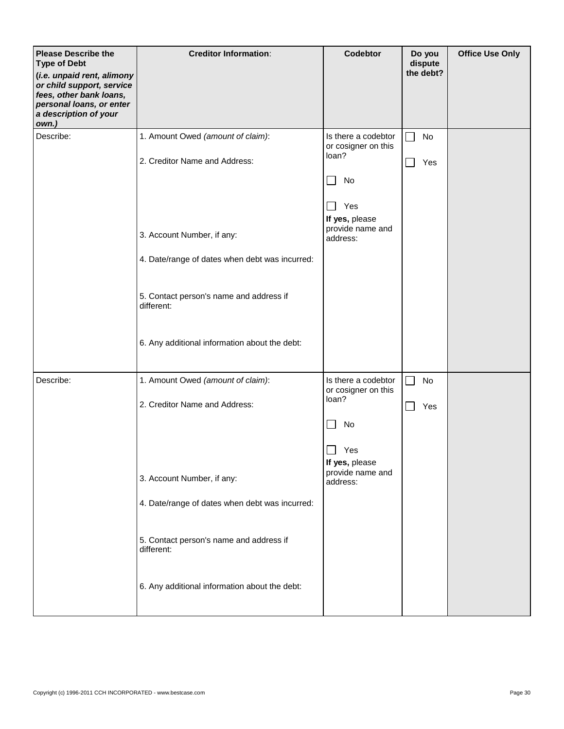| <b>Please Describe the</b><br><b>Type of Debt</b><br>(i.e. unpaid rent, alimony<br>or child support, service<br>fees, other bank loans,<br>personal loans, or enter<br>a description of your<br>own.) | <b>Creditor Information:</b>                                                                                                                                                                                                                                 | Codebtor                                                                                                           | Do you<br>dispute<br>the debt? | <b>Office Use Only</b> |
|-------------------------------------------------------------------------------------------------------------------------------------------------------------------------------------------------------|--------------------------------------------------------------------------------------------------------------------------------------------------------------------------------------------------------------------------------------------------------------|--------------------------------------------------------------------------------------------------------------------|--------------------------------|------------------------|
| Describe:                                                                                                                                                                                             | 1. Amount Owed (amount of claim):<br>2. Creditor Name and Address:<br>3. Account Number, if any:<br>4. Date/range of dates when debt was incurred:<br>5. Contact person's name and address if<br>different:                                                  | Is there a codebtor<br>or cosigner on this<br>loan?<br>No<br>Yes<br>If yes, please<br>provide name and<br>address: | No<br>Yes                      |                        |
|                                                                                                                                                                                                       | 6. Any additional information about the debt:                                                                                                                                                                                                                |                                                                                                                    |                                |                        |
| Describe:                                                                                                                                                                                             | 1. Amount Owed (amount of claim):<br>2. Creditor Name and Address:<br>3. Account Number, if any:<br>4. Date/range of dates when debt was incurred:<br>5. Contact person's name and address if<br>different:<br>6. Any additional information about the debt: | Is there a codebtor<br>or cosigner on this<br>loan?<br>No<br>Yes<br>If yes, please<br>provide name and<br>address: | No<br>$\Box$<br>Yes            |                        |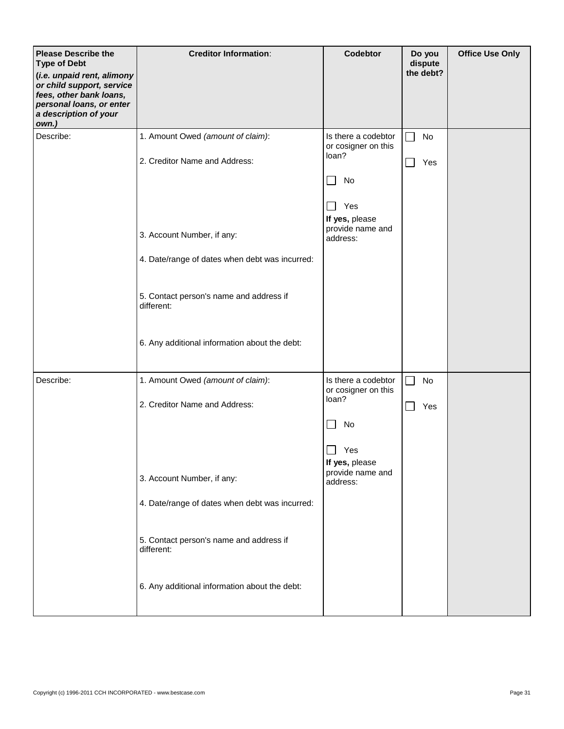| <b>Please Describe the</b><br><b>Type of Debt</b><br>(i.e. unpaid rent, alimony<br>or child support, service<br>fees, other bank loans,<br>personal loans, or enter<br>a description of your<br>own.) | <b>Creditor Information:</b>                                                                                                                                                                                                                                 | Codebtor                                                                                                           | Do you<br>dispute<br>the debt? | <b>Office Use Only</b> |
|-------------------------------------------------------------------------------------------------------------------------------------------------------------------------------------------------------|--------------------------------------------------------------------------------------------------------------------------------------------------------------------------------------------------------------------------------------------------------------|--------------------------------------------------------------------------------------------------------------------|--------------------------------|------------------------|
| Describe:                                                                                                                                                                                             | 1. Amount Owed (amount of claim):<br>2. Creditor Name and Address:<br>3. Account Number, if any:<br>4. Date/range of dates when debt was incurred:<br>5. Contact person's name and address if<br>different:                                                  | Is there a codebtor<br>or cosigner on this<br>loan?<br>No<br>Yes<br>If yes, please<br>provide name and<br>address: | No<br>Yes                      |                        |
|                                                                                                                                                                                                       | 6. Any additional information about the debt:                                                                                                                                                                                                                |                                                                                                                    |                                |                        |
| Describe:                                                                                                                                                                                             | 1. Amount Owed (amount of claim):<br>2. Creditor Name and Address:<br>3. Account Number, if any:<br>4. Date/range of dates when debt was incurred:<br>5. Contact person's name and address if<br>different:<br>6. Any additional information about the debt: | Is there a codebtor<br>or cosigner on this<br>loan?<br>No<br>Yes<br>If yes, please<br>provide name and<br>address: | No<br>$\Box$<br>Yes            |                        |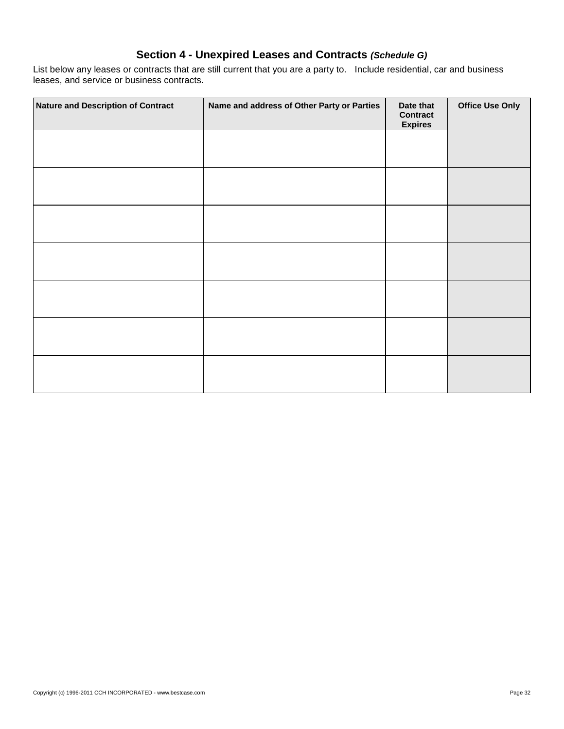## **Section 4 - Unexpired Leases and Contracts** *(Schedule G)*

List below any leases or contracts that are still current that you are a party to. Include residential, car and business leases, and service or business contracts.

| <b>Nature and Description of Contract</b> | Name and address of Other Party or Parties | Date that<br><b>Contract</b><br><b>Expires</b> | <b>Office Use Only</b> |
|-------------------------------------------|--------------------------------------------|------------------------------------------------|------------------------|
|                                           |                                            |                                                |                        |
|                                           |                                            |                                                |                        |
|                                           |                                            |                                                |                        |
|                                           |                                            |                                                |                        |
|                                           |                                            |                                                |                        |
|                                           |                                            |                                                |                        |
|                                           |                                            |                                                |                        |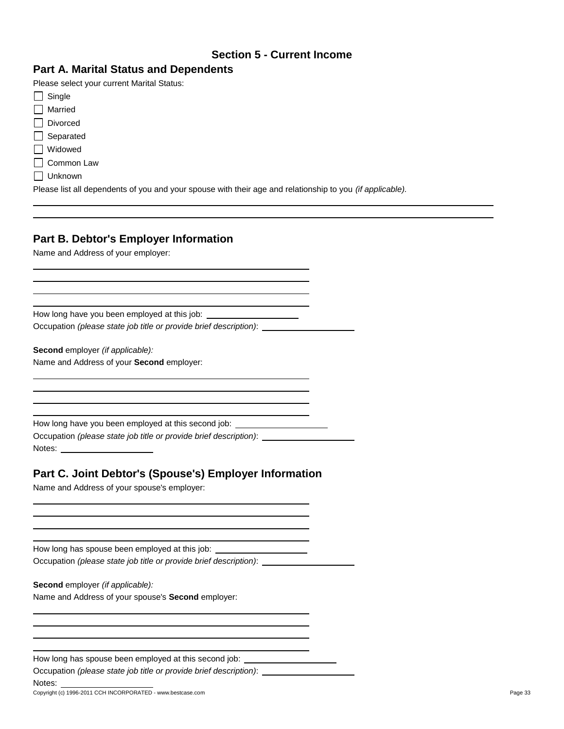## **Section 5 - Current Income**

## **Part A. Marital Status and Dependents**

Please select your current Marital Status:

| Single         |
|----------------|
| Married        |
| Divorced       |
| Separated      |
| $\Box$ Widowed |
| Common Law     |
| $\Box$ Unknown |
|                |

Please list all dependents of you and your spouse with their age and relationship to you *(if applicable).*

## **Part B. Debtor's Employer Information**

Name and Address of your employer:

How long have you been employed at this job: Occupation *(please state job title or provide brief description)*:

**Second** employer *(if applicable):* Name and Address of your **Second** employer:

How long have you been employed at this second job: \_\_\_\_\_

Occupation *(please state job title or provide brief description)*: Notes: **Notes: Notes:** 

## **Part C. Joint Debtor's (Spouse's) Employer Information**

Name and Address of your spouse's employer:

How long has spouse been employed at this job: Occupation *(please state job title or provide brief description)*:

**Second** employer *(if applicable):*

Name and Address of your spouse's **Second** employer:

How long has spouse been employed at this second job:

Occupation *(please state job title or provide brief description)*: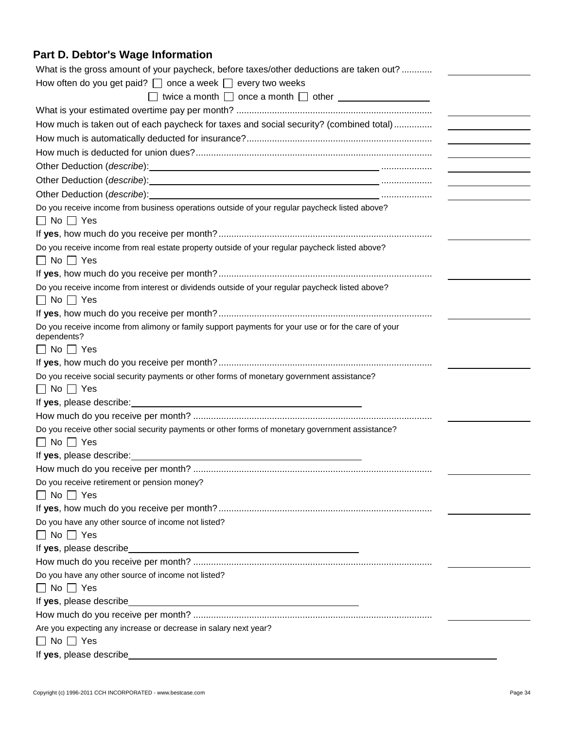# **Part D. Debtor's Wage Information**

| What is the gross amount of your paycheck, before taxes/other deductions are taken out?                                                                                                                                        |                                                                                                                      |
|--------------------------------------------------------------------------------------------------------------------------------------------------------------------------------------------------------------------------------|----------------------------------------------------------------------------------------------------------------------|
| How often do you get paid? $\Box$ once a week $\Box$ every two weeks                                                                                                                                                           |                                                                                                                      |
| $\Box$ twice a month $\Box$ once a month $\Box$ other $\Box$                                                                                                                                                                   |                                                                                                                      |
|                                                                                                                                                                                                                                |                                                                                                                      |
| How much is taken out of each paycheck for taxes and social security? (combined total)                                                                                                                                         |                                                                                                                      |
|                                                                                                                                                                                                                                | <u> 1980 - Jan Stein Stein Stein Stein Stein Stein Stein Stein Stein Stein Stein Stein Stein Stein Stein Stein S</u> |
|                                                                                                                                                                                                                                | <u> 1989 - Jan Barnett, fransk politik (</u>                                                                         |
|                                                                                                                                                                                                                                |                                                                                                                      |
|                                                                                                                                                                                                                                |                                                                                                                      |
| Other Deduction (describe): example and the contract of the contract of the contract of the contract of the contract of the contract of the contract of the contract of the contract of the contract of the contract of the co |                                                                                                                      |
| Do you receive income from business operations outside of your regular paycheck listed above?                                                                                                                                  |                                                                                                                      |
| $\Box$ No $\Box$ Yes                                                                                                                                                                                                           |                                                                                                                      |
|                                                                                                                                                                                                                                |                                                                                                                      |
| Do you receive income from real estate property outside of your regular paycheck listed above?                                                                                                                                 |                                                                                                                      |
| $\Box$ No $\Box$ Yes                                                                                                                                                                                                           |                                                                                                                      |
|                                                                                                                                                                                                                                |                                                                                                                      |
| Do you receive income from interest or dividends outside of your regular paycheck listed above?                                                                                                                                |                                                                                                                      |
| $\Box$ No $\Box$ Yes                                                                                                                                                                                                           |                                                                                                                      |
|                                                                                                                                                                                                                                |                                                                                                                      |
| Do you receive income from alimony or family support payments for your use or for the care of your<br>dependents?                                                                                                              |                                                                                                                      |
| $\Box$ No $\Box$ Yes                                                                                                                                                                                                           |                                                                                                                      |
|                                                                                                                                                                                                                                |                                                                                                                      |
| Do you receive social security payments or other forms of monetary government assistance?                                                                                                                                      |                                                                                                                      |
| $\Box$ No $\Box$ Yes                                                                                                                                                                                                           |                                                                                                                      |
| If yes, please describe: expression and the set of yes, please describe:                                                                                                                                                       |                                                                                                                      |
|                                                                                                                                                                                                                                |                                                                                                                      |
| Do you receive other social security payments or other forms of monetary government assistance?                                                                                                                                |                                                                                                                      |
| $\Box$ No $\Box$ Yes                                                                                                                                                                                                           |                                                                                                                      |
| If yes, please describe:<br><u> 1989 - Jan Salaman Salaman (j. 1989)</u>                                                                                                                                                       |                                                                                                                      |
|                                                                                                                                                                                                                                |                                                                                                                      |
| Do you receive retirement or pension money?<br>$\Box$ No $\Box$ Yes                                                                                                                                                            |                                                                                                                      |
|                                                                                                                                                                                                                                |                                                                                                                      |
| Do you have any other source of income not listed?                                                                                                                                                                             |                                                                                                                      |
| $\Box$ No $\Box$ Yes                                                                                                                                                                                                           |                                                                                                                      |
|                                                                                                                                                                                                                                |                                                                                                                      |
|                                                                                                                                                                                                                                |                                                                                                                      |
| Do you have any other source of income not listed?                                                                                                                                                                             |                                                                                                                      |
| $\Box$ No $\Box$ Yes                                                                                                                                                                                                           |                                                                                                                      |
|                                                                                                                                                                                                                                |                                                                                                                      |
|                                                                                                                                                                                                                                |                                                                                                                      |
| Are you expecting any increase or decrease in salary next year?                                                                                                                                                                |                                                                                                                      |
| $\Box$ No $\Box$ Yes                                                                                                                                                                                                           |                                                                                                                      |
| If yes, please describe                                                                                                                                                                                                        |                                                                                                                      |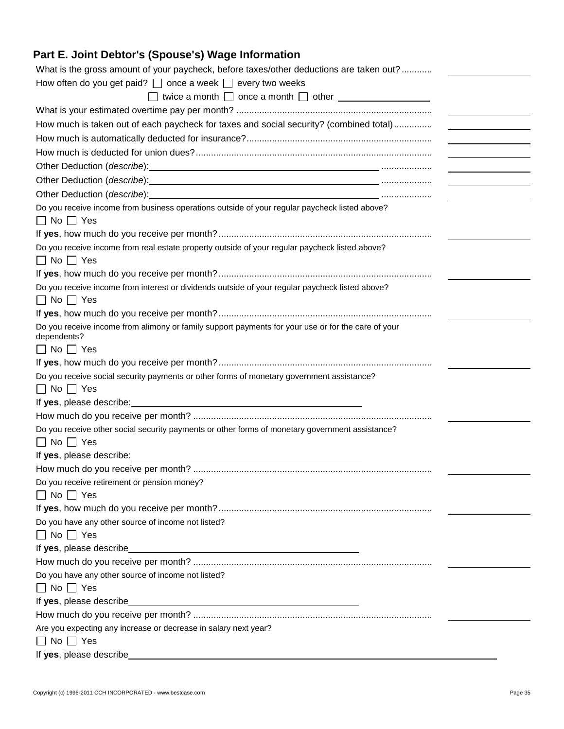# **Part E. Joint Debtor's (Spouse's) Wage Information**

| What is the gross amount of your paycheck, before taxes/other deductions are taken out?                                                                                                                                              |                                                                                                                                                                                                                                      |
|--------------------------------------------------------------------------------------------------------------------------------------------------------------------------------------------------------------------------------------|--------------------------------------------------------------------------------------------------------------------------------------------------------------------------------------------------------------------------------------|
| How often do you get paid? $\Box$ once a week $\Box$ every two weeks                                                                                                                                                                 |                                                                                                                                                                                                                                      |
| $\Box$ twice a month $\Box$ once a month $\Box$ other $\Box$                                                                                                                                                                         |                                                                                                                                                                                                                                      |
|                                                                                                                                                                                                                                      |                                                                                                                                                                                                                                      |
| How much is taken out of each paycheck for taxes and social security? (combined total)                                                                                                                                               |                                                                                                                                                                                                                                      |
|                                                                                                                                                                                                                                      | <u> 1989 - Johann Barbara, martxa a</u>                                                                                                                                                                                              |
|                                                                                                                                                                                                                                      | <u>and the company of the company of the company of the company of the company of the company of the company of the company of the company of the company of the company of the company of the company of the company of the com</u> |
| Other Deduction (describe): Manual Contract Description (describe) and the manual contract of the contract of                                                                                                                        |                                                                                                                                                                                                                                      |
| Other Deduction (describe): Manual Communication (describe):                                                                                                                                                                         |                                                                                                                                                                                                                                      |
| Other Deduction (describe): <u>contract and contract and contract and contract and contract and contract and contract and contract and contract and contract and contract and contract and contract and contract and contract an</u> |                                                                                                                                                                                                                                      |
| Do you receive income from business operations outside of your regular paycheck listed above?<br>$\Box$ No $\Box$ Yes                                                                                                                |                                                                                                                                                                                                                                      |
|                                                                                                                                                                                                                                      |                                                                                                                                                                                                                                      |
| Do you receive income from real estate property outside of your regular paycheck listed above?<br>$\Box$ No $\Box$ Yes                                                                                                               |                                                                                                                                                                                                                                      |
|                                                                                                                                                                                                                                      |                                                                                                                                                                                                                                      |
| Do you receive income from interest or dividends outside of your regular paycheck listed above?<br>$\Box$ No $\Box$ Yes                                                                                                              |                                                                                                                                                                                                                                      |
|                                                                                                                                                                                                                                      |                                                                                                                                                                                                                                      |
| Do you receive income from alimony or family support payments for your use or for the care of your<br>dependents?                                                                                                                    |                                                                                                                                                                                                                                      |
| $\Box$ No $\Box$ Yes                                                                                                                                                                                                                 |                                                                                                                                                                                                                                      |
|                                                                                                                                                                                                                                      |                                                                                                                                                                                                                                      |
| Do you receive social security payments or other forms of monetary government assistance?                                                                                                                                            |                                                                                                                                                                                                                                      |
| $\Box$ No $\Box$ Yes                                                                                                                                                                                                                 |                                                                                                                                                                                                                                      |
|                                                                                                                                                                                                                                      |                                                                                                                                                                                                                                      |
|                                                                                                                                                                                                                                      |                                                                                                                                                                                                                                      |
| Do you receive other social security payments or other forms of monetary government assistance?                                                                                                                                      |                                                                                                                                                                                                                                      |
| $\Box$ No $\Box$ Yes                                                                                                                                                                                                                 |                                                                                                                                                                                                                                      |
| If yes, please describe:<br><u> 1989 - Johann John Stone, markin fizikar (h. 1989).</u>                                                                                                                                              |                                                                                                                                                                                                                                      |
| Do you receive retirement or pension money?                                                                                                                                                                                          |                                                                                                                                                                                                                                      |
| $\Box$ No $\Box$ Yes                                                                                                                                                                                                                 |                                                                                                                                                                                                                                      |
|                                                                                                                                                                                                                                      |                                                                                                                                                                                                                                      |
| Do you have any other source of income not listed?                                                                                                                                                                                   |                                                                                                                                                                                                                                      |
| $\Box$ No $\Box$ Yes                                                                                                                                                                                                                 |                                                                                                                                                                                                                                      |
|                                                                                                                                                                                                                                      |                                                                                                                                                                                                                                      |
|                                                                                                                                                                                                                                      |                                                                                                                                                                                                                                      |
| Do you have any other source of income not listed?                                                                                                                                                                                   |                                                                                                                                                                                                                                      |
| $\Box$ No $\Box$ Yes                                                                                                                                                                                                                 |                                                                                                                                                                                                                                      |
|                                                                                                                                                                                                                                      |                                                                                                                                                                                                                                      |
|                                                                                                                                                                                                                                      |                                                                                                                                                                                                                                      |
| Are you expecting any increase or decrease in salary next year?                                                                                                                                                                      |                                                                                                                                                                                                                                      |
| $\Box$ No $\Box$ Yes                                                                                                                                                                                                                 |                                                                                                                                                                                                                                      |
| If yes, please describe                                                                                                                                                                                                              |                                                                                                                                                                                                                                      |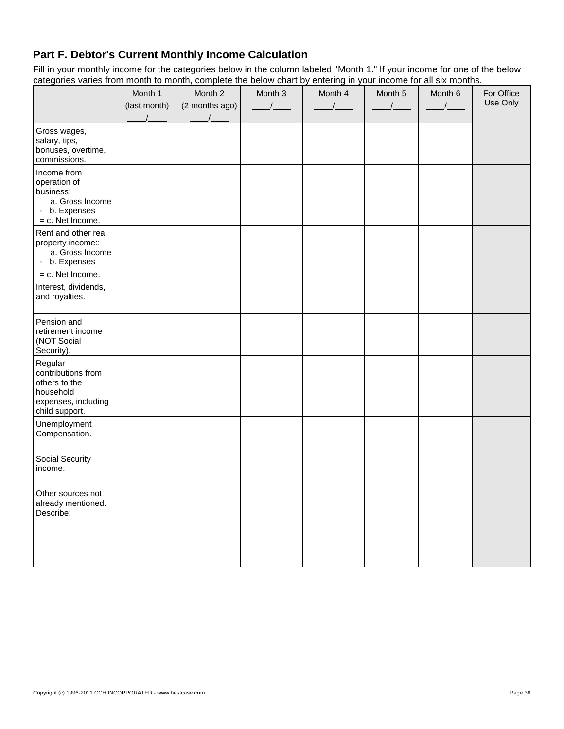## **Part F. Debtor's Current Monthly Income Calculation**

Fill in your monthly income for the categories below in the column labeled "Month 1." If your income for one of the below categories varies from month to month, complete the below chart by entering in your income for all six months.

| Month 1<br>(last month) | Month 2<br>(2 months ago) | Month 3<br>$\sqrt{2}$ | Month 4 | Month 5 | Month 6 | For Office<br>Use Only |
|-------------------------|---------------------------|-----------------------|---------|---------|---------|------------------------|
|                         |                           |                       |         |         |         |                        |
|                         |                           |                       |         |         |         |                        |
|                         |                           |                       |         |         |         |                        |
|                         |                           |                       |         |         |         |                        |
|                         |                           |                       |         |         |         |                        |
|                         |                           |                       |         |         |         |                        |
|                         |                           |                       |         |         |         |                        |
|                         |                           |                       |         |         |         |                        |
|                         |                           |                       |         |         |         |                        |
|                         |                           |                       |         |         |         |                        |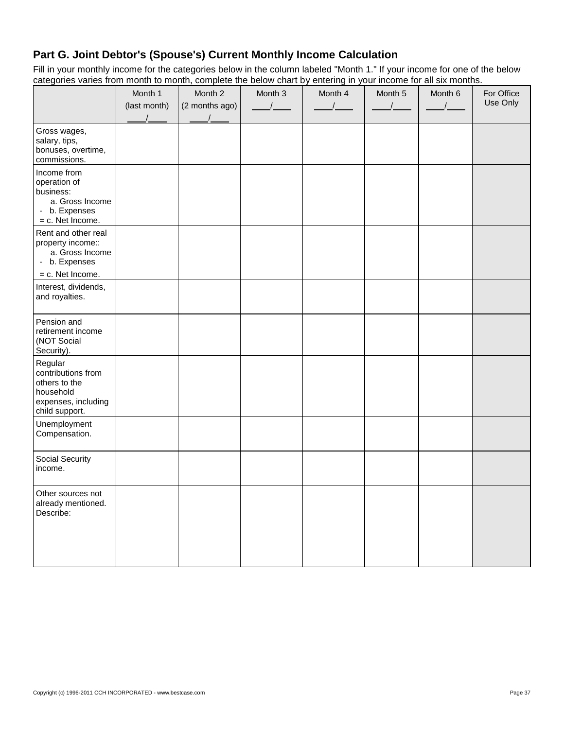# **Part G. Joint Debtor's (Spouse's) Current Monthly Income Calculation**

Fill in your monthly income for the categories below in the column labeled "Month 1." If your income for one of the below categories varies from month to month, complete the below chart by entering in your income for all six months.

|                                                                                                      | Month 1<br>(last month) | Month 2<br>(2 months ago) | Month 3<br>$\sqrt{2}$ | Month 4 | Month 5 | Month 6 | For Office<br>Use Only |
|------------------------------------------------------------------------------------------------------|-------------------------|---------------------------|-----------------------|---------|---------|---------|------------------------|
| Gross wages,<br>salary, tips,<br>bonuses, overtime,<br>commissions.                                  |                         |                           |                       |         |         |         |                        |
| Income from<br>operation of<br>business:<br>a. Gross Income<br>- b. Expenses<br>= c. Net Income.     |                         |                           |                       |         |         |         |                        |
| Rent and other real<br>property income::<br>a. Gross Income<br>- b. Expenses                         |                         |                           |                       |         |         |         |                        |
| = c. Net Income.<br>Interest, dividends,<br>and royalties.                                           |                         |                           |                       |         |         |         |                        |
| Pension and<br>retirement income<br>(NOT Social<br>Security).                                        |                         |                           |                       |         |         |         |                        |
| Regular<br>contributions from<br>others to the<br>household<br>expenses, including<br>child support. |                         |                           |                       |         |         |         |                        |
| Unemployment<br>Compensation.                                                                        |                         |                           |                       |         |         |         |                        |
| Social Security<br>income.                                                                           |                         |                           |                       |         |         |         |                        |
| Other sources not<br>already mentioned.<br>Describe:                                                 |                         |                           |                       |         |         |         |                        |
|                                                                                                      |                         |                           |                       |         |         |         |                        |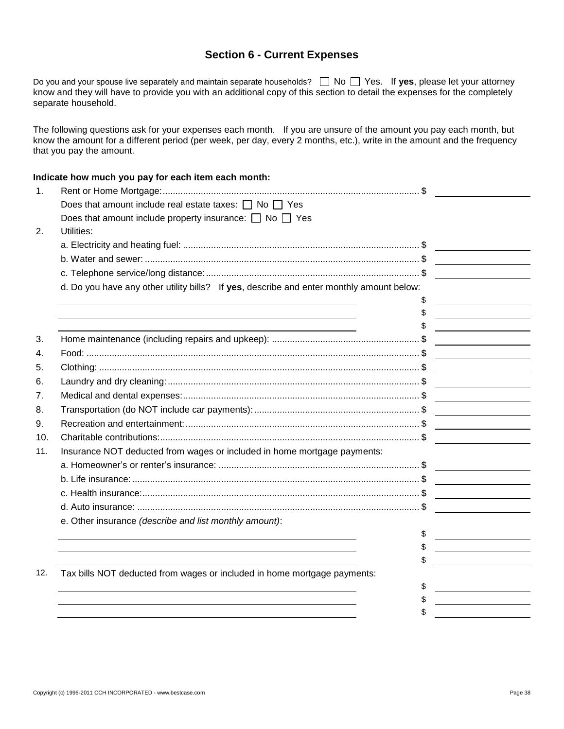## **Section 6 - Current Expenses**

Do you and your spouse live separately and maintain separate households?  $\Box$  No  $\Box$  Yes. If yes, please let your attorney know and they will have to provide you with an additional copy of this section to detail the expenses for the completely separate household.

The following questions ask for your expenses each month. If you are unsure of the amount you pay each month, but know the amount for a different period (per week, per day, every 2 months, etc.), write in the amount and the frequency that you pay the amount.

### **Indicate how much you pay for each item each month:**

| $\mathbf{1}$ . |                                                                                          |                                                                                                                       |
|----------------|------------------------------------------------------------------------------------------|-----------------------------------------------------------------------------------------------------------------------|
|                | Does that amount include real estate taxes: $\Box$ No $\Box$ Yes                         |                                                                                                                       |
|                | Does that amount include property insurance: $\Box$ No $\Box$ Yes                        |                                                                                                                       |
| 2.             | Utilities:                                                                               |                                                                                                                       |
|                |                                                                                          |                                                                                                                       |
|                |                                                                                          |                                                                                                                       |
|                |                                                                                          |                                                                                                                       |
|                | d. Do you have any other utility bills? If yes, describe and enter monthly amount below: |                                                                                                                       |
|                |                                                                                          |                                                                                                                       |
|                |                                                                                          |                                                                                                                       |
|                |                                                                                          |                                                                                                                       |
| 3.             |                                                                                          |                                                                                                                       |
| 4.             |                                                                                          | <u> Territoria de la contenentación de la contenentación de la contenentación de la contenentación de la contene</u>  |
| 5.             |                                                                                          | <u> 1989 - Johann Barnett, fransk politiker (</u>                                                                     |
| 6.             |                                                                                          |                                                                                                                       |
| 7.             |                                                                                          |                                                                                                                       |
| 8.             |                                                                                          | <u> Liste de la construcción de la construcción de la construcción de la construcción de la construcción de la co</u> |
| 9.             |                                                                                          | <u> 1990 - Andrea Station Books, amerikansk politik (d. 1980)</u>                                                     |
| 10.            |                                                                                          |                                                                                                                       |
| 11.            | Insurance NOT deducted from wages or included in home mortgage payments:                 |                                                                                                                       |
|                |                                                                                          |                                                                                                                       |
|                |                                                                                          |                                                                                                                       |
|                |                                                                                          | <u> The Communication of the Communication</u>                                                                        |
|                |                                                                                          |                                                                                                                       |
|                | e. Other insurance (describe and list monthly amount):                                   |                                                                                                                       |
|                |                                                                                          | \$                                                                                                                    |
|                |                                                                                          |                                                                                                                       |
|                |                                                                                          | \$                                                                                                                    |
| 12.            | Tax bills NOT deducted from wages or included in home mortgage payments:                 |                                                                                                                       |
|                |                                                                                          |                                                                                                                       |
|                |                                                                                          |                                                                                                                       |
|                |                                                                                          |                                                                                                                       |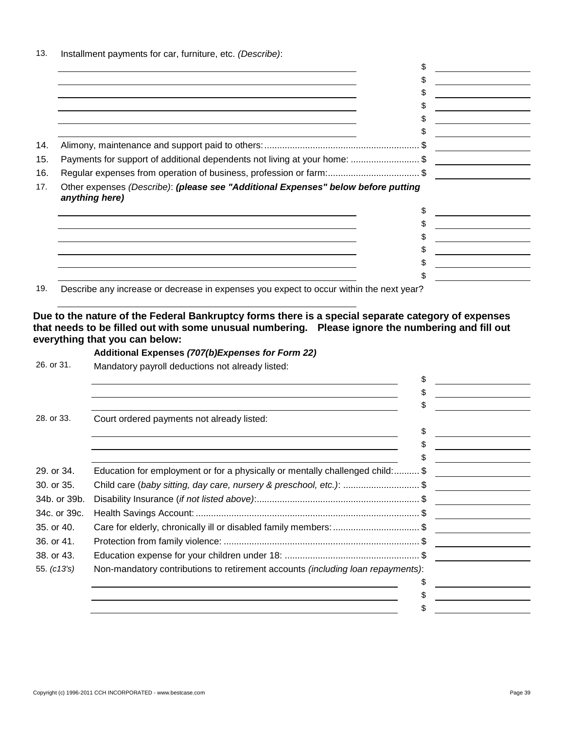| anything here) |                                                                                                                                                                                                                                      |
|----------------|--------------------------------------------------------------------------------------------------------------------------------------------------------------------------------------------------------------------------------------|
|                |                                                                                                                                                                                                                                      |
|                |                                                                                                                                                                                                                                      |
|                |                                                                                                                                                                                                                                      |
|                |                                                                                                                                                                                                                                      |
|                |                                                                                                                                                                                                                                      |
|                |                                                                                                                                                                                                                                      |
|                | Payments for support of additional dependents not living at your home: \$<br>Regular expenses from operation of business, profession or farm:\$<br>Other expenses (Describe): (please see "Additional Expenses" below before putting |

19. Describe any increase or decrease in expenses you expect to occur within the next year?

**Due to the nature of the Federal Bankruptcy forms there is a special separate category of expenses that needs to be filled out with some unusual numbering. Please ignore the numbering and fill out everything that you can below:**

26. or 31. Mandatory payroll deductions not already listed:

13. Installment payments for car, furniture, etc. *(Describe)*:

|               |                                                                                 | S. |  |
|---------------|---------------------------------------------------------------------------------|----|--|
|               |                                                                                 |    |  |
|               |                                                                                 |    |  |
| 28. or 33.    | Court ordered payments not already listed:                                      |    |  |
|               |                                                                                 | \$ |  |
|               |                                                                                 |    |  |
|               |                                                                                 |    |  |
| 29. or 34.    | Education for employment or for a physically or mentally challenged child:\$    |    |  |
| 30. or 35.    | Child care (baby sitting, day care, nursery & preschool, etc.): \$              |    |  |
| 34b. or 39b.  |                                                                                 |    |  |
| 34c. or 39c.  |                                                                                 |    |  |
| 35. or 40.    | Care for elderly, chronically ill or disabled family members: \$                |    |  |
| 36. or 41.    |                                                                                 |    |  |
| 38. or 43.    |                                                                                 |    |  |
| 55. $(c13's)$ | Non-mandatory contributions to retirement accounts (including loan repayments): |    |  |
|               |                                                                                 |    |  |
|               |                                                                                 |    |  |
|               |                                                                                 |    |  |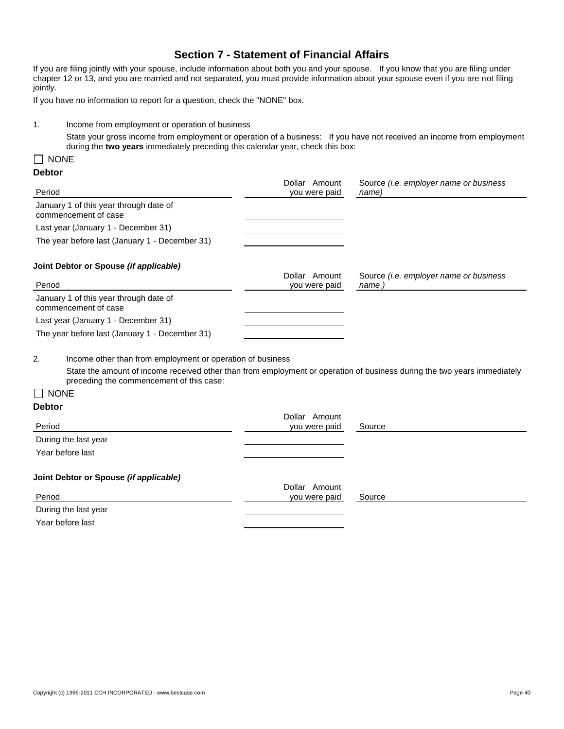## **Section 7 - Statement of Financial Affairs**

If you are filing jointly with your spouse, include information about both you and your spouse. If you know that you are filing under chapter 12 or 13, and you are married and not separated, you must provide information about your spouse even if you are not filing jointly.

If you have no information to report for a question, check the "NONE" box.

1. Income from employment or operation of business

State your gross income from employment or operation of a business: If you have not received an income from employment during the **two years** immediately preceding this calendar year, check this box:

### $\Box$  NONE

### **Debtor**

| Period                                                           | Dollar Amount<br>you were paid | Source <i>(i.e. employer name or business</i><br>name)                                                                   |
|------------------------------------------------------------------|--------------------------------|--------------------------------------------------------------------------------------------------------------------------|
| January 1 of this year through date of<br>commencement of case   |                                |                                                                                                                          |
| Last year (January 1 - December 31)                              |                                |                                                                                                                          |
| The year before last (January 1 - December 31)                   |                                |                                                                                                                          |
| Joint Debtor or Spouse (if applicable)<br>Period                 | Dollar Amount                  | Source (i.e. employer name or business<br>name)                                                                          |
| January 1 of this year through date of<br>commencement of case   | you were paid                  |                                                                                                                          |
| Last year (January 1 - December 31)                              |                                |                                                                                                                          |
| The year before last (January 1 - December 31)                   |                                |                                                                                                                          |
| 2.<br>Income other than from employment or operation of business |                                |                                                                                                                          |
| preceding the commencement of this case:                         |                                | State the amount of income received other than from employment or operation of business during the two years immediately |
| $\Box$ none                                                      |                                |                                                                                                                          |
| <b>Debtor</b>                                                    |                                |                                                                                                                          |
|                                                                  | Dollar Amount                  |                                                                                                                          |
| Period                                                           | you were paid                  | Source                                                                                                                   |
| During the last year                                             |                                |                                                                                                                          |
| Year before last                                                 |                                |                                                                                                                          |
| Joint Debtor or Spouse (if applicable)                           |                                |                                                                                                                          |
| Period                                                           | Dollar Amount<br>you were paid | Source                                                                                                                   |
|                                                                  |                                |                                                                                                                          |

During the last year Year before last

you were paid Source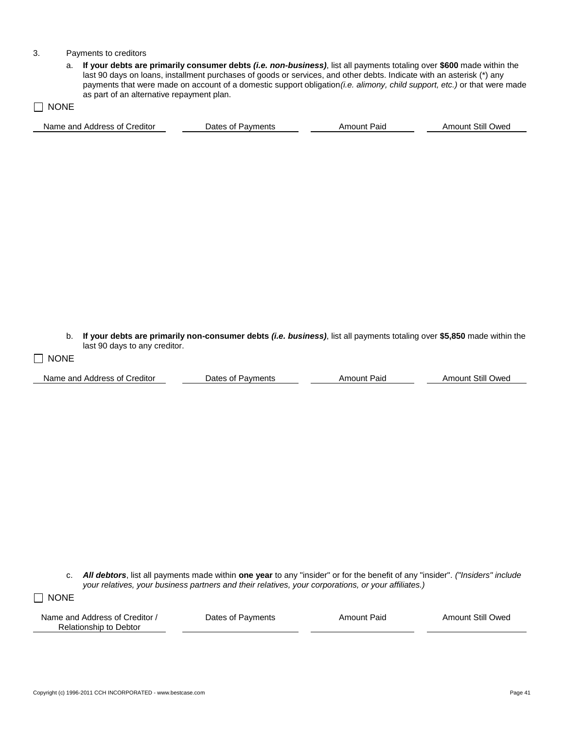#### 3. Payments to creditors

a. **If your debts are primarily consumer debts** *(i.e. non-business)*, list all payments totaling over **\$600** made within the last 90 days on loans, installment purchases of goods or services, and other debts. Indicate with an asterisk (\*) any payments that were made on account of a domestic support obligation*(i.e. alimony, child support, etc.)* or that were made as part of an alternative repayment plan.

 $\Box$  NONE Name and Address of Creditor **Dates of Payments** Amount Paid Amount Still Owed

b. **If your debts are primarily non-consumer debts** *(i.e. business)*, list all payments totaling over **\$5,850** made within the last 90 days to any creditor.

 $\Box$  NONE

```
Name and Address of Creditor Dates of Payments Amount Paid Amount Still Owed
```
c. *All debtors*, list all payments made within **one year** to any "insider" or for the benefit of any "insider". *("Insiders" include your relatives, your business partners and their relatives, your corporations, or your affiliates.)*

 $\Box$  NONE

| Name and Address of Creditor / | Dates of Payments | Amount Paid | <b>Amount Still Owed</b> |
|--------------------------------|-------------------|-------------|--------------------------|
| Relationship to Debtor         |                   |             |                          |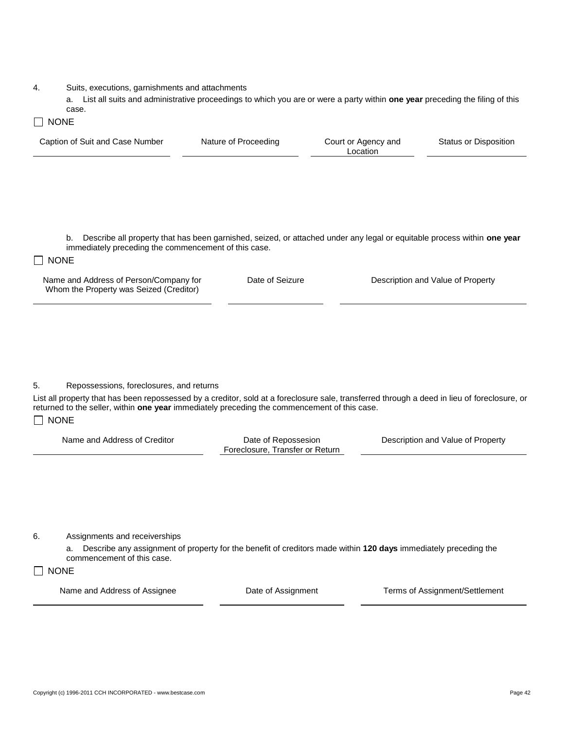| 4. |  |  | Suits, executions, garnishments and attachments |
|----|--|--|-------------------------------------------------|
|----|--|--|-------------------------------------------------|

a. List all suits and administrative proceedings to which you are or were a party within **one year** preceding the filing of this case.

### $\Box$  NONE

| Caption of Suit and Case Number | Nature of Proceeding | Court or Agency and<br>Location | Status or Disposition |
|---------------------------------|----------------------|---------------------------------|-----------------------|
|                                 |                      |                                 |                       |

b. Describe all property that has been garnished, seized, or attached under any legal or equitable process within **one year** immediately preceding the commencement of this case.

#### $\Box$  NONE

Name and Address of Person/Company for Whom the Property was Seized (Creditor)

Date of Seizure **Description and Value of Property** 

5. Repossessions, foreclosures, and returns

List all property that has been repossessed by a creditor, sold at a foreclosure sale, transferred through a deed in lieu of foreclosure, or returned to the seller, within **one year** immediately preceding the commencement of this case.

## $\Box$  NONE

| Name and Address of Creditor | Date of Repossesion             | Description and Value of Property |
|------------------------------|---------------------------------|-----------------------------------|
|                              | Foreclosure. Transfer or Return |                                   |
|                              |                                 |                                   |

6. Assignments and receiverships

a. Describe any assignment of property for the benefit of creditors made within **120 days** immediately preceding the commencement of this case.

### $\Box$  NONE

|  |  |  |  | Vame and Address of Assignee |
|--|--|--|--|------------------------------|
|--|--|--|--|------------------------------|

Name and Address of Assignee **Date of Assignment** Terms of Assignment/Settlement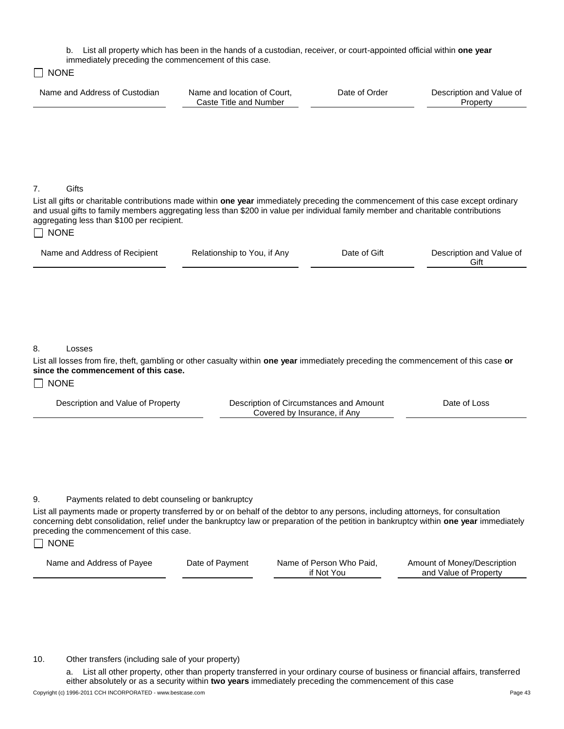| <b>NONE</b>                                                                                                                                                                                                                                                                                                                          |                                                       |               |                                      |
|--------------------------------------------------------------------------------------------------------------------------------------------------------------------------------------------------------------------------------------------------------------------------------------------------------------------------------------|-------------------------------------------------------|---------------|--------------------------------------|
| Name and Address of Custodian                                                                                                                                                                                                                                                                                                        | Name and location of Court,<br>Caste Title and Number | Date of Order | Description and Value of<br>Property |
|                                                                                                                                                                                                                                                                                                                                      |                                                       |               |                                      |
| Gifts<br>7.                                                                                                                                                                                                                                                                                                                          |                                                       |               |                                      |
| List all gifts or charitable contributions made within one year immediately preceding the commencement of this case except ordinary<br>and usual gifts to family members aggregating less than \$200 in value per individual family member and charitable contributions<br>aggregating less than \$100 per recipient.<br>$\Box$ NONE |                                                       |               |                                      |
|                                                                                                                                                                                                                                                                                                                                      |                                                       |               |                                      |
| Name and Address of Recipient                                                                                                                                                                                                                                                                                                        | Relationship to You, if Any                           | Date of Gift  | Gift                                 |
|                                                                                                                                                                                                                                                                                                                                      |                                                       |               |                                      |
| Losses                                                                                                                                                                                                                                                                                                                               |                                                       |               |                                      |
| 8.<br>List all losses from fire, theft, gambling or other casualty within one year immediately preceding the commencement of this case or<br>since the commencement of this case.<br><b>NONE</b>                                                                                                                                     |                                                       |               | Description and Value of             |

### 9. Payments related to debt counseling or bankruptcy

List all payments made or property transferred by or on behalf of the debtor to any persons, including attorneys, for consultation concerning debt consolidation, relief under the bankruptcy law or preparation of the petition in bankruptcy within **one year** immediately preceding the commencement of this case.

## $\Box$  NONE

| Name and Address of Payee | Date of Payment | Name of Person Who Paid, | Amount of Money/Description |
|---------------------------|-----------------|--------------------------|-----------------------------|
|                           |                 | if Not You               | and Value of Property       |
|                           |                 |                          |                             |

### 10. Other transfers (including sale of your property)

a. List all other property, other than property transferred in your ordinary course of business or financial affairs, transferred either absolutely or as a security within **two years** immediately preceding the commencement of this case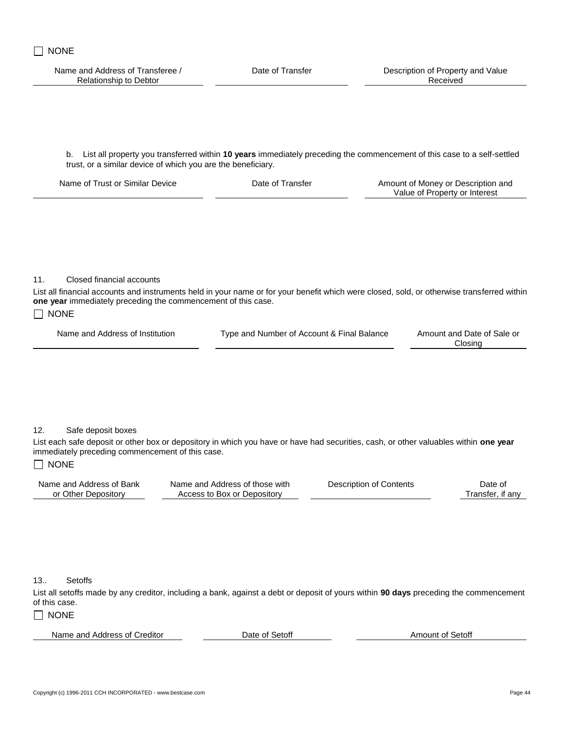Name and Address of Transferee / Relationship to Debtor

b. List all property you transferred within **10 years** immediately preceding the commencement of this case to a self-settled trust, or a similar device of which you are the beneficiary.

| Name of Trust or Similar Device | Date of Transfer | Amount of Money or Description and |
|---------------------------------|------------------|------------------------------------|
|                                 |                  | Value of Property or Interest      |

11. Closed financial accounts

List all financial accounts and instruments held in your name or for your benefit which were closed, sold, or otherwise transferred within **one year** immediately preceding the commencement of this case.

### $\Box$  NONE

| Name and Address of Institution | Type and Number of Account & Final Balance | Amount and Date of Sale or |
|---------------------------------|--------------------------------------------|----------------------------|
|                                 |                                            | Closina                    |

#### 12. Safe deposit boxes

List each safe deposit or other box or depository in which you have or have had securities, cash, or other valuables within **one year** immediately preceding commencement of this case.

#### □ NONE

| Name and Address of Bank | Name and Address of those with | Description of Contents | Date of          |
|--------------------------|--------------------------------|-------------------------|------------------|
| or Other Depository      | Access to Box or Depository    |                         | Transfer. if anv |

#### 13.. Setoffs

List all setoffs made by any creditor, including a bank, against a debt or deposit of yours within **90 days** preceding the commencement of this case.

#### $\Box$  NONE

Name and Address of Creditor **Date of Setoff Creditor** Date of Setoff **Amount of Setoff** Amount of Setoff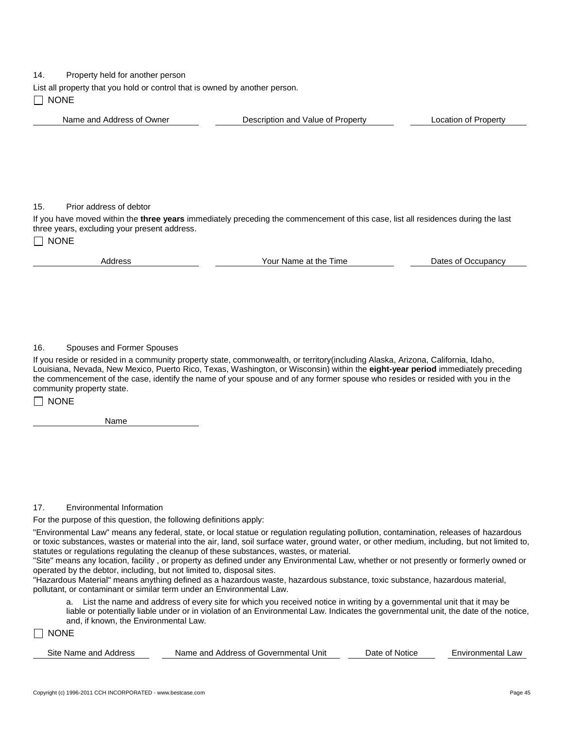#### 14. Property held for another person

List all property that you hold or control that is owned by another person.

 $\Box$  NONE

| and<br>Name<br>Jwner<br>⊦Address of | Description and<br>⊧of Propertv<br>Value | <b>Property</b><br>∟ocation of |
|-------------------------------------|------------------------------------------|--------------------------------|
|                                     |                                          |                                |

#### 15. Prior address of debtor

If you have moved within the **three years** immediately preceding the commencement of this case, list all residences during the last three years, excluding your present address.

 $\Box$  NONE

Address **The Contract Contract Address** Your Name at the Time **Dates of Occupancy** 

#### 16. Spouses and Former Spouses

If you reside or resided in a community property state, commonwealth, or territory(including Alaska, Arizona, California, Idaho, Louisiana, Nevada, New Mexico, Puerto Rico, Texas, Washington, or Wisconsin) within the **eight-year period** immediately preceding the commencement of the case, identify the name of your spouse and of any former spouse who resides or resided with you in the community property state.

 $\Box$  NONE

Name

#### 17. Environmental Information

For the purpose of this question, the following definitions apply:

"Environmental Law" means any federal, state, or local statue or regulation regulating pollution, contamination, releases of hazardous or toxic substances, wastes or material into the air, land, soil surface water, ground water, or other medium, including, but not limited to, statutes or regulations regulating the cleanup of these substances, wastes, or material.

"Site" means any location, facility , or property as defined under any Environmental Law, whether or not presently or formerly owned or operated by the debtor, including, but not limited to, disposal sites.

"Hazardous Material" means anything defined as a hazardous waste, hazardous substance, toxic substance, hazardous material, pollutant, or contaminant or similar term under an Environmental Law.

a. List the name and address of every site for which you received notice in writing by a governmental unit that it may be liable or potentially liable under or in violation of an Environmental Law. Indicates the governmental unit, the date of the notice, and, if known, the Environmental Law.

 $\Box$  NONE

| Site Name and Address | Name and Address of Governmental Unit | , of Notice<br>Date | Environmental Law |
|-----------------------|---------------------------------------|---------------------|-------------------|
|-----------------------|---------------------------------------|---------------------|-------------------|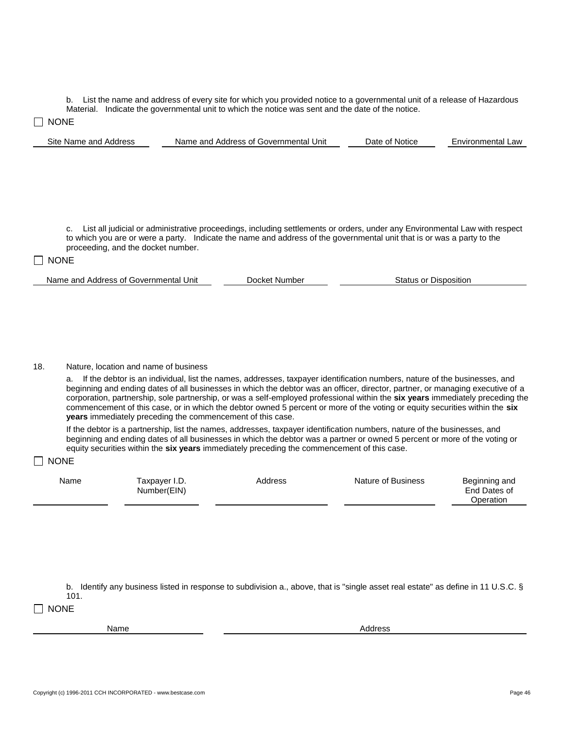b. List the name and address of every site for which you provided notice to a governmental unit of a release of Hazardous Material. Indicate the governmental unit to which the notice was sent and the date of the notice.

### □ NONE

Site Name and Address Name and Address of Governmental Unit Date of Notice Environmental Law

c. List all judicial or administrative proceedings, including settlements or orders, under any Environmental Law with respect to which you are or were a party. Indicate the name and address of the governmental unit that is or was a party to the proceeding, and the docket number.

#### $\Box$  NONE

Name and Address of Governmental Unit **Docket Number** Status or Disposition **Status or Disposition** 

#### 18. Nature, location and name of business

a. If the debtor is an individual, list the names, addresses, taxpayer identification numbers, nature of the businesses, and beginning and ending dates of all businesses in which the debtor was an officer, director, partner, or managing executive of a corporation, partnership, sole partnership, or was a self-employed professional within the **six years** immediately preceding the commencement of this case, or in which the debtor owned 5 percent or more of the voting or equity securities within the **six years** immediately preceding the commencement of this case.

If the debtor is a partnership, list the names, addresses, taxpayer identification numbers, nature of the businesses, and beginning and ending dates of all businesses in which the debtor was a partner or owned 5 percent or more of the voting or equity securities within the **six years** immediately preceding the commencement of this case.

#### $\Box$  NONE

| Name | Taxpayer I.D.<br>Number(EIN) | Address | Nature of Business | Beginning and<br>End Dates of |
|------|------------------------------|---------|--------------------|-------------------------------|
|      |                              |         |                    | Operation                     |

b. Identify any business listed in response to subdivision a., above, that is "single asset real estate" as define in 11 U.S.C. § 101.

 $\Box$  NONE

Name Address Address Address Address Address Address Address Address Address Address Address Address Address A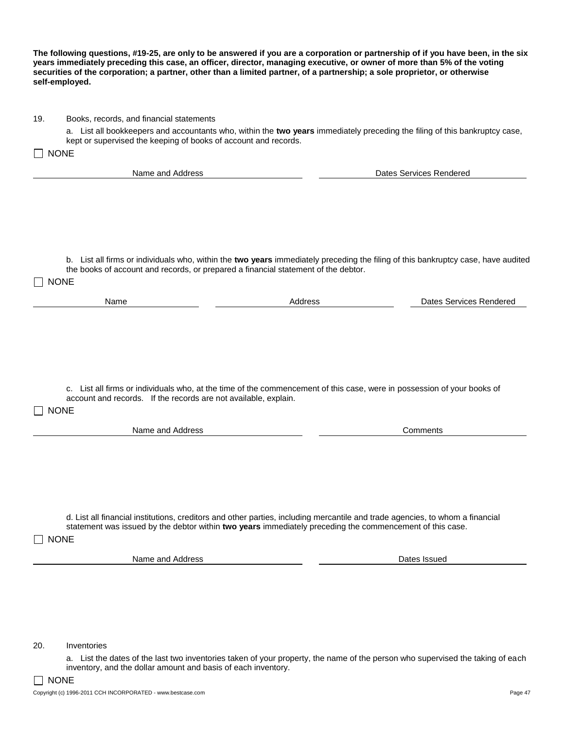| 19.         | Books, records, and financial statements                                                                                                                                                                                                  |         |                         |
|-------------|-------------------------------------------------------------------------------------------------------------------------------------------------------------------------------------------------------------------------------------------|---------|-------------------------|
|             | a. List all bookkeepers and accountants who, within the two years immediately preceding the filing of this bankruptcy case,<br>kept or supervised the keeping of books of account and records.                                            |         |                         |
|             | <b>NONE</b>                                                                                                                                                                                                                               |         |                         |
|             | Name and Address                                                                                                                                                                                                                          |         | Dates Services Rendered |
|             |                                                                                                                                                                                                                                           |         |                         |
| $\Box$ None | b. List all firms or individuals who, within the two years immediately preceding the filing of this bankruptcy case, have audited<br>the books of account and records, or prepared a financial statement of the debtor.                   |         |                         |
|             | Name                                                                                                                                                                                                                                      | Address | Dates Services Rendered |
|             | c. List all firms or individuals who, at the time of the commencement of this case, were in possession of your books of<br>account and records. If the records are not available, explain.<br><b>NONE</b>                                 |         |                         |
|             | Name and Address                                                                                                                                                                                                                          |         | Comments                |
| $\Box$ NONE | d. List all financial institutions, creditors and other parties, including mercantile and trade agencies, to whom a financial<br>statement was issued by the debtor within two years immediately preceding the commencement of this case. |         |                         |
|             | Name and Address                                                                                                                                                                                                                          |         | Dates Issued            |
| 20.         | Inventories<br>a. List the dates of the last two inventories taken of your property, the name of the person who supervised the taking of each<br>inventory, and the dollar amount and basis of each inventory.<br><b>NONE</b>             |         |                         |
|             | Copyright (c) 1996-2011 CCH INCORPORATED - www.bestcase.com                                                                                                                                                                               |         | Page 47                 |

**The following questions, #19-25, are only to be answered if you are a corporation or partnership of if you have been, in the six years immediately preceding this case, an officer, director, managing executive, or owner of more than 5% of the voting**  securities of the corporation; a partner, other than a limited partner, of a partnership; a sole proprietor, or otherwise **self-employed.**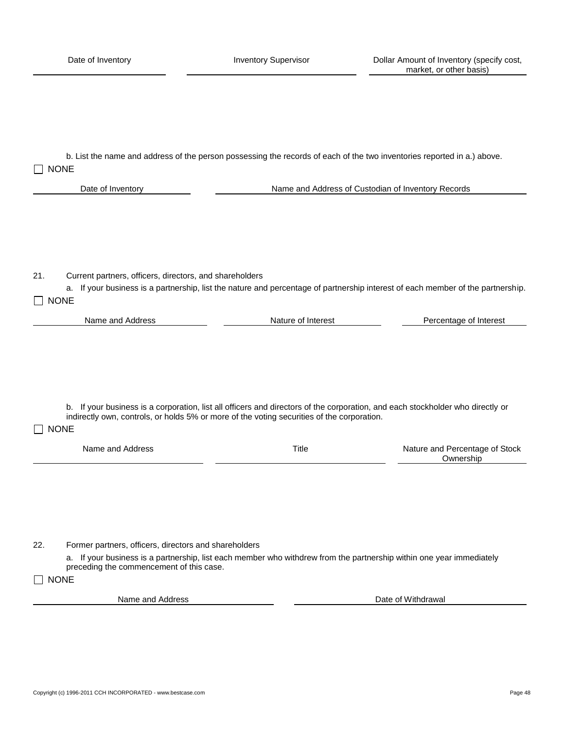b. List the name and address of the person possessing the records of each of the two inventories reported in a.) above.  $\Box$  NONE

Date of Inventory **Name and Address of Custodian of Inventory Records** 

21. Current partners, officers, directors, and shareholders

a. If your business is a partnership, list the nature and percentage of partnership interest of each member of the partnership.  $\Box$  NONE

| Name and Address | Nature of Interest | Percentage of Interest |
|------------------|--------------------|------------------------|
|                  |                    |                        |

b. If your business is a corporation, list all officers and directors of the corporation, and each stockholder who directly or indirectly own, controls, or holds 5% or more of the voting securities of the corporation.

## $\Box$  NONE Name and Address **Nature 20** Title Nature and Percentage of Stock Ownership

22. Former partners, officers, directors and shareholders

a. If your business is a partnership, list each member who withdrew from the partnership within one year immediately preceding the commencement of this case.

 $\Box$  NONE

Name and Address **Date of Withdrawal**